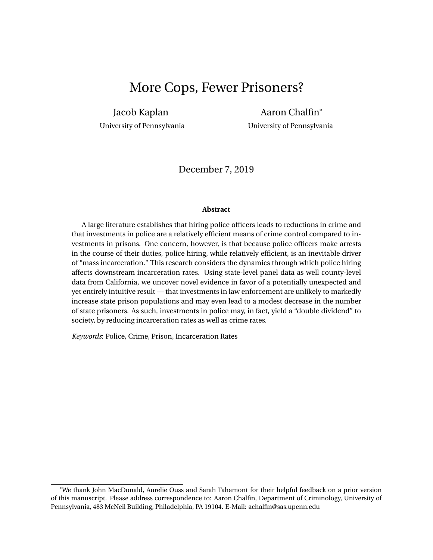# More Cops, Fewer Prisoners?

Jacob Kaplan Aaron Chalfin\* University of Pennsylvania University of Pennsylvania

December 7, 2019

#### **Abstract**

A large literature establishes that hiring police officers leads to reductions in crime and that investments in police are a relatively efficient means of crime control compared to investments in prisons. One concern, however, is that because police officers make arrests in the course of their duties, police hiring, while relatively efficient, is an inevitable driver of "mass incarceration." This research considers the dynamics through which police hiring affects downstream incarceration rates. Using state-level panel data as well county-level data from California, we uncover novel evidence in favor of a potentially unexpected and yet entirely intuitive result — that investments in law enforcement are unlikely to markedly increase state prison populations and may even lead to a modest decrease in the number of state prisoners. As such, investments in police may, in fact, yield a "double dividend" to society, by reducing incarceration rates as well as crime rates.

*Keywords*: Police, Crime, Prison, Incarceration Rates

<sup>\*</sup>We thank John MacDonald, Aurelie Ouss and Sarah Tahamont for their helpful feedback on a prior version of this manuscript. Please address correspondence to: Aaron Chalfin, Department of Criminology, University of Pennsylvania, 483 McNeil Building, Philadelphia, PA 19104. E-Mail: achalfin@sas.upenn.edu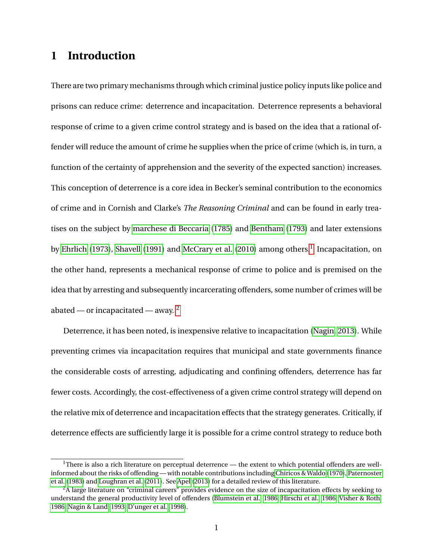## **1 Introduction**

There are two primary mechanisms through which criminal justice policy inputs like police and prisons can reduce crime: deterrence and incapacitation. Deterrence represents a behavioral response of crime to a given crime control strategy and is based on the idea that a rational offender will reduce the amount of crime he supplies when the price of crime (which is, in turn, a function of the certainty of apprehension and the severity of the expected sanction) increases. This conception of deterrence is a core idea in Becker's seminal contribution to the economics of crime and in Cornish and Clarke's *The Reasoning Criminal* and can be found in early treatises on the subject by [marchese di Beccaria](#page-49-0) [\(1785\)](#page-49-0) and [Bentham](#page-46-0) [\(1793\)](#page-46-0) and later extensions by [Ehrlich](#page-48-0) [\(1973\)](#page-48-0), [Shavell](#page-51-0) [\(1991\)](#page-51-0) and [McCrary et al.](#page-50-0) [\(2010\)](#page-50-0) among others. $^{\rm l}$  Incapacitation, on the other hand, represents a mechanical response of crime to police and is premised on the idea that by arresting and subsequently incarcerating offenders, some number of crimes will be abated — or incapacitated — away.  $2^2$  $2^2$ 

Deterrence, it has been noted, is inexpensive relative to incapacitation [\(Nagin, 2013\)](#page-50-1). While preventing crimes via incapacitation requires that municipal and state governments finance the considerable costs of arresting, adjudicating and confining offenders, deterrence has far fewer costs. Accordingly, the cost-effectiveness of a given crime control strategy will depend on the relative mix of deterrence and incapacitation effects that the strategy generates. Critically, if deterrence effects are sufficiently large it is possible for a crime control strategy to reduce both

<span id="page-1-0"></span><sup>&</sup>lt;sup>1</sup>There is also a rich literature on perceptual deterrence — the extent to which potential offenders are wellinformed about the risks of offending — with notable contributions including [Chiricos & Waldo](#page-47-0) [\(1970\)](#page-47-0), [Paternoster](#page-50-2) [et al.](#page-50-2) [\(1983\)](#page-50-2) and [Loughran et al.](#page-49-1) [\(2011\)](#page-49-1). See [Apel](#page-46-1) [\(2013\)](#page-46-1) for a detailed review of this literature.

<span id="page-1-1"></span><sup>&</sup>lt;sup>2</sup>A large literature on "criminal careers" provides evidence on the size of incapacitation effects by seeking to understand the general productivity level of offenders [\(Blumstein et al., 1986;](#page-46-2) [Hirschi et al., 1986;](#page-48-1) [Visher & Roth,](#page-52-0) [1986;](#page-52-0) [Nagin & Land, 1993;](#page-50-3) [D'unger et al., 1998\)](#page-47-1).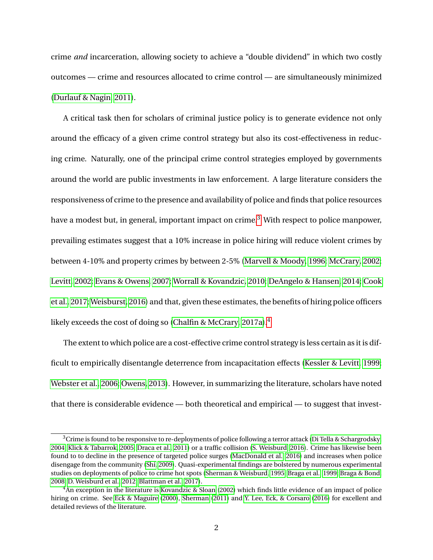crime *and* incarceration, allowing society to achieve a "double dividend" in which two costly outcomes — crime and resources allocated to crime control — are simultaneously minimized [\(Durlauf & Nagin, 2011\)](#page-48-2).

A critical task then for scholars of criminal justice policy is to generate evidence not only around the efficacy of a given crime control strategy but also its cost-effectiveness in reducing crime. Naturally, one of the principal crime control strategies employed by governments around the world are public investments in law enforcement. A large literature considers the responsiveness of crime to the presence and availability of police and finds that police resources have a modest but, in general, important impact on crime.<sup>[3](#page-2-0)</sup> With respect to police manpower, prevailing estimates suggest that a 10% increase in police hiring will reduce violent crimes by between 4-10% and property crimes by between 2-5% [\(Marvell & Moody, 1996;](#page-49-2) [McCrary, 2002;](#page-50-4) [Levitt, 2002;](#page-49-3) [Evans & Owens, 2007;](#page-48-3) [Worrall & Kovandzic, 2010;](#page-52-1) [DeAngelo & Hansen, 2014;](#page-47-2) [Cook](#page-47-3) [et al., 2017;](#page-47-3) [Weisburst, 2016\)](#page-52-2) and that, given these estimates, the benefits of hiring police officers likely exceeds the cost of doing so [\(Chalfin & McCrary, 2017a\)](#page-46-3).<sup>[4](#page-2-1)</sup>

The extent to which police are a cost-effective crime control strategy is less certain as it is difficult to empirically disentangle deterrence from incapacitation effects [\(Kessler & Levitt, 1999;](#page-48-4) [Webster et al., 2006;](#page-52-3) [Owens, 2013\)](#page-50-5). However, in summarizing the literature, scholars have noted that there is considerable evidence — both theoretical and empirical — to suggest that invest-

<span id="page-2-0"></span> $3$ Crime is found to be responsive to re-deployments of police following a terror attack [\(Di Tella & Schargrodsky,](#page-47-4) [2004;](#page-47-4) [Klick & Tabarrok, 2005;](#page-49-4) [Draca et al., 2011\)](#page-47-5) or a traffic collision [\(S. Weisburd, 2016\)](#page-52-4). Crime has likewise been found to to decline in the presence of targeted police surges [\(MacDonald et al., 2016\)](#page-49-5) and increases when police disengage from the community [\(Shi, 2009\)](#page-51-1). Quasi-experimental findings are bolstered by numerous experimental studies on deployments of police to crime hot spots [\(Sherman & Weisburd, 1995;](#page-51-2) [Braga et al., 1999;](#page-46-4) [Braga & Bond,](#page-46-5) [2008;](#page-46-5) [D. Weisburd et al., 2012;](#page-52-5) [Blattman et al., 2017\)](#page-46-6).

<span id="page-2-1"></span><sup>&</sup>lt;sup>4</sup>An exception in the literature is [Kovandzic & Sloan](#page-49-6) [\(2002\)](#page-49-6) which finds little evidence of an impact of police hiring on crime. See [Eck & Maguire](#page-48-5) [\(2000\)](#page-48-5), [Sherman](#page-51-3) [\(2011\)](#page-51-3) and [Y. Lee, Eck, & Corsaro](#page-49-7) [\(2016\)](#page-49-7) for excellent and detailed reviews of the literature.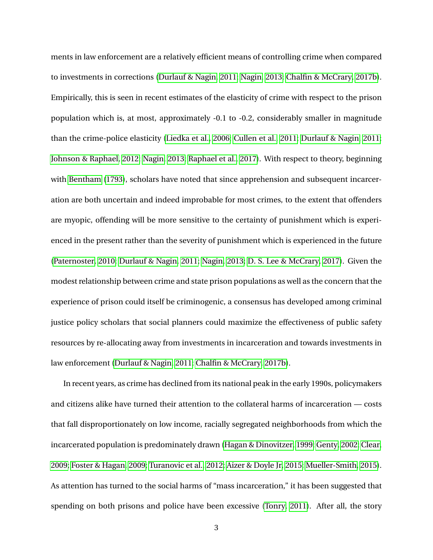ments in law enforcement are a relatively efficient means of controlling crime when compared to investments in corrections [\(Durlauf & Nagin, 2011;](#page-48-2) [Nagin, 2013;](#page-50-1) [Chalfin & McCrary, 2017b\)](#page-47-6). Empirically, this is seen in recent estimates of the elasticity of crime with respect to the prison population which is, at most, approximately -0.1 to -0.2, considerably smaller in magnitude than the crime-police elasticity [\(Liedka et al., 2006;](#page-49-8) [Cullen et al., 2011;](#page-47-7) [Durlauf & Nagin, 2011;](#page-48-2) [Johnson & Raphael, 2012;](#page-48-6) [Nagin, 2013;](#page-50-1) [Raphael et al., 2017\)](#page-50-6). With respect to theory, beginning with [Bentham](#page-46-0) [\(1793\)](#page-46-0), scholars have noted that since apprehension and subsequent incarceration are both uncertain and indeed improbable for most crimes, to the extent that offenders are myopic, offending will be more sensitive to the certainty of punishment which is experienced in the present rather than the severity of punishment which is experienced in the future [\(Paternoster, 2010;](#page-50-7) [Durlauf & Nagin, 2011;](#page-48-2) [Nagin, 2013;](#page-50-1) [D. S. Lee & McCrary, 2017\)](#page-49-9). Given the modest relationship between crime and state prison populations as well as the concern that the experience of prison could itself be criminogenic, a consensus has developed among criminal justice policy scholars that social planners could maximize the effectiveness of public safety resources by re-allocating away from investments in incarceration and towards investments in law enforcement [\(Durlauf & Nagin, 2011;](#page-48-2) [Chalfin & McCrary, 2017b\)](#page-47-6).

In recent years, as crime has declined from its national peak in the early 1990s, policymakers and citizens alike have turned their attention to the collateral harms of incarceration — costs that fall disproportionately on low income, racially segregated neighborhoods from which the incarcerated population is predominately drawn [\(Hagan & Dinovitzer, 1999;](#page-48-7) [Genty, 2002;](#page-48-8) [Clear,](#page-47-8) [2009;](#page-47-8) [Foster & Hagan, 2009;](#page-48-9) [Turanovic et al., 2012;](#page-52-6) [Aizer & Doyle Jr, 2015;](#page-46-7) [Mueller-Smith, 2015\)](#page-50-8). As attention has turned to the social harms of "mass incarceration," it has been suggested that spending on both prisons and police have been excessive [\(Tonry, 2011\)](#page-52-7). After all, the story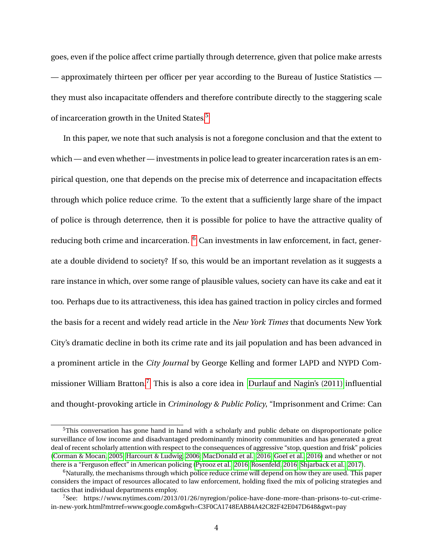goes, even if the police affect crime partially through deterrence, given that police make arrests — approximately thirteen per officer per year according to the Bureau of Justice Statistics they must also incapacitate offenders and therefore contribute directly to the staggering scale of incarceration growth in the United States.<sup>[5](#page-4-0)</sup>

In this paper, we note that such analysis is not a foregone conclusion and that the extent to which — and even whether — investments in police lead to greater incarceration rates is an empirical question, one that depends on the precise mix of deterrence and incapacitation effects through which police reduce crime. To the extent that a sufficiently large share of the impact of police is through deterrence, then it is possible for police to have the attractive quality of reducing both crime and incarceration. <sup>[6](#page-4-1)</sup> Can investments in law enforcement, in fact, generate a double dividend to society? If so, this would be an important revelation as it suggests a rare instance in which, over some range of plausible values, society can have its cake and eat it too. Perhaps due to its attractiveness, this idea has gained traction in policy circles and formed the basis for a recent and widely read article in the *New York Times* that documents New York City's dramatic decline in both its crime rate and its jail population and has been advanced in a prominent article in the *City Journal* by George Kelling and former LAPD and NYPD Commissioner William Bratton.[7](#page-4-2) This is also a core idea in [Durlauf and Nagin's \(2011\)](#page-48-2) influential and thought-provoking article in *Criminology & Public Policy*, "Imprisonment and Crime: Can

<span id="page-4-0"></span><sup>&</sup>lt;sup>5</sup>This conversation has gone hand in hand with a scholarly and public debate on disproportionate police surveillance of low income and disadvantaged predominantly minority communities and has generated a great deal of recent scholarly attention with respect to the consequences of aggressive "stop, question and frisk" policies [\(Corman & Mocan, 2005;](#page-47-9) [Harcourt & Ludwig, 2006;](#page-48-10) [MacDonald et al., 2016;](#page-49-5) [Goel et al., 2016\)](#page-48-11) and whether or not there is a "Ferguson effect" in American policing [\(Pyrooz et al., 2016;](#page-50-9) [Rosenfeld, 2016;](#page-51-4) [Shjarback et al., 2017\)](#page-51-5).

<span id="page-4-1"></span><sup>&</sup>lt;sup>6</sup>Naturally, the mechanisms through which police reduce crime will depend on how they are used. This paper considers the impact of resources allocated to law enforcement, holding fixed the mix of policing strategies and tactics that individual departments employ.

<span id="page-4-2"></span> $^7$ See: https://www.nytimes.com/2013/01/26/nyregion/police-have-done-more-than-prisons-to-cut-crimein-new-york.html?mtrref=www.google.com&gwh=C3F0CA1748EAB84A42C82F42E047D648&gwt=pay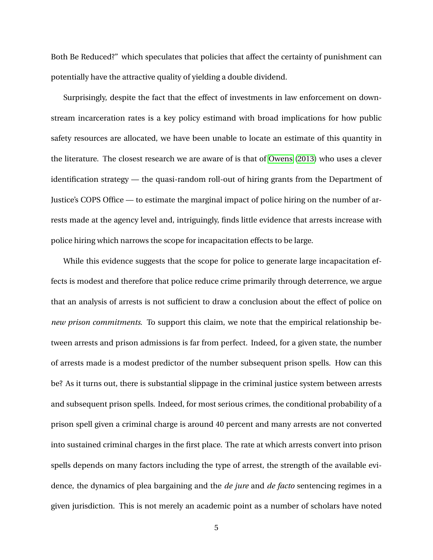Both Be Reduced?" which speculates that policies that affect the certainty of punishment can potentially have the attractive quality of yielding a double dividend.

Surprisingly, despite the fact that the effect of investments in law enforcement on downstream incarceration rates is a key policy estimand with broad implications for how public safety resources are allocated, we have been unable to locate an estimate of this quantity in the literature. The closest research we are aware of is that of [Owens](#page-50-5) [\(2013\)](#page-50-5) who uses a clever identification strategy — the quasi-random roll-out of hiring grants from the Department of Justice's COPS Office — to estimate the marginal impact of police hiring on the number of arrests made at the agency level and, intriguingly, finds little evidence that arrests increase with police hiring which narrows the scope for incapacitation effects to be large.

While this evidence suggests that the scope for police to generate large incapacitation effects is modest and therefore that police reduce crime primarily through deterrence, we argue that an analysis of arrests is not sufficient to draw a conclusion about the effect of police on *new prison commitments*. To support this claim, we note that the empirical relationship between arrests and prison admissions is far from perfect. Indeed, for a given state, the number of arrests made is a modest predictor of the number subsequent prison spells. How can this be? As it turns out, there is substantial slippage in the criminal justice system between arrests and subsequent prison spells. Indeed, for most serious crimes, the conditional probability of a prison spell given a criminal charge is around 40 percent and many arrests are not converted into sustained criminal charges in the first place. The rate at which arrests convert into prison spells depends on many factors including the type of arrest, the strength of the available evidence, the dynamics of plea bargaining and the *de jure* and *de facto* sentencing regimes in a given jurisdiction. This is not merely an academic point as a number of scholars have noted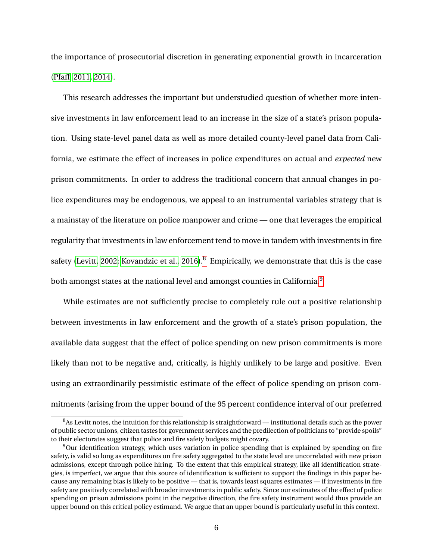the importance of prosecutorial discretion in generating exponential growth in incarceration [\(Pfaff, 2011,](#page-50-10) [2014\)](#page-50-11).

This research addresses the important but understudied question of whether more intensive investments in law enforcement lead to an increase in the size of a state's prison population. Using state-level panel data as well as more detailed county-level panel data from California, we estimate the effect of increases in police expenditures on actual and *expected* new prison commitments. In order to address the traditional concern that annual changes in police expenditures may be endogenous, we appeal to an instrumental variables strategy that is a mainstay of the literature on police manpower and crime — one that leverages the empirical regularity that investments in law enforcement tend to move in tandem with investments in fire safety [\(Levitt, 2002;](#page-49-3) [Kovandzic et al., 2016\)](#page-49-10).<sup>[8](#page-6-0)</sup> Empirically, we demonstrate that this is the case both amongst states at the national level and amongst counties in California.<sup>[9](#page-6-1)</sup>

While estimates are not sufficiently precise to completely rule out a positive relationship between investments in law enforcement and the growth of a state's prison population, the available data suggest that the effect of police spending on new prison commitments is more likely than not to be negative and, critically, is highly unlikely to be large and positive. Even using an extraordinarily pessimistic estimate of the effect of police spending on prison commitments (arising from the upper bound of the 95 percent confidence interval of our preferred

<span id="page-6-0"></span> $8$ As Levitt notes, the intuition for this relationship is straightforward — institutional details such as the power of public sector unions, citizen tastes for government services and the predilection of politicians to "provide spoils" to their electorates suggest that police and fire safety budgets might covary.

<span id="page-6-1"></span><sup>9</sup>Our identification strategy, which uses variation in police spending that is explained by spending on fire safety, is valid so long as expenditures on fire safety aggregated to the state level are uncorrelated with new prison admissions, except through police hiring. To the extent that this empirical strategy, like all identification strategies, is imperfect, we argue that this source of identification is sufficient to support the findings in this paper because any remaining bias is likely to be positive — that is, towards least squares estimates — if investments in fire safety are positively correlated with broader investments in public safety. Since our estimates of the effect of police spending on prison admissions point in the negative direction, the fire safety instrument would thus provide an upper bound on this critical policy estimand. We argue that an upper bound is particularly useful in this context.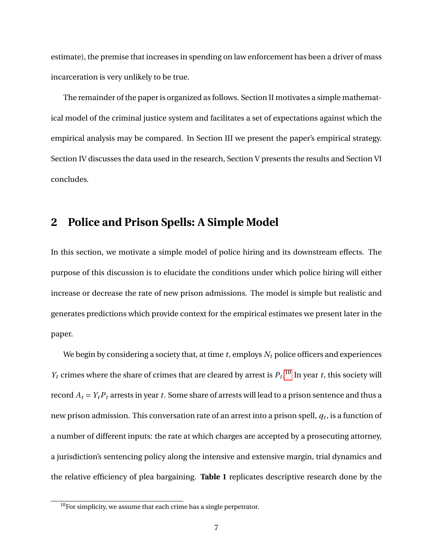estimate), the premise that increases in spending on law enforcement has been a driver of mass incarceration is very unlikely to be true.

The remainder of the paper is organized as follows. Section II motivates a simple mathematical model of the criminal justice system and facilitates a set of expectations against which the empirical analysis may be compared. In Section III we present the paper's empirical strategy. Section IV discusses the data used in the research, Section V presents the results and Section VI concludes.

## **2 Police and Prison Spells: A Simple Model**

In this section, we motivate a simple model of police hiring and its downstream effects. The purpose of this discussion is to elucidate the conditions under which police hiring will either increase or decrease the rate of new prison admissions. The model is simple but realistic and generates predictions which provide context for the empirical estimates we present later in the paper.

We begin by considering a society that, at time *t*, employs *N<sup>t</sup>* police officers and experiences *Y*<sup>*t*</sup> crimes where the share of crimes that are cleared by arrest is  $P_t$ <sup>[10](#page-7-0)</sup>. In year *t*, this society will record  $A_t = Y_t P_t$  arrests in year *t*. Some share of arrests will lead to a prison sentence and thus a new prison admission. This conversation rate of an arrest into a prison spell, *q<sup>t</sup>* , is a function of a number of different inputs: the rate at which charges are accepted by a prosecuting attorney, a jurisdiction's sentencing policy along the intensive and extensive margin, trial dynamics and the relative efficiency of plea bargaining. **Table 1** replicates descriptive research done by the

<span id="page-7-0"></span> $10$ For simplicity, we assume that each crime has a single perpetrator.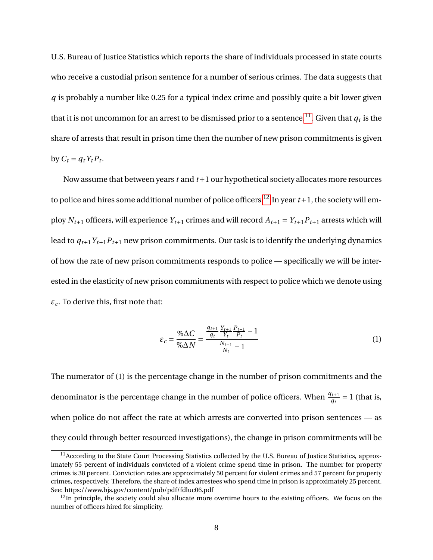U.S. Bureau of Justice Statistics which reports the share of individuals processed in state courts who receive a custodial prison sentence for a number of serious crimes. The data suggests that *q* is probably a number like 0.25 for a typical index crime and possibly quite a bit lower given that it is not uncommon for an arrest to be dismissed prior to a sentence. $^{11}.$  $^{11}.$  $^{11}.$  Given that  $\overline{q}_t$  is the share of arrests that result in prison time then the number of new prison commitments is given by  $C_t = q_t Y_t P_t$ .

Now assume that between years *t* and *t*+1 our hypothetical society allocates more resources to police and hires some additional number of police officers.<sup>[12](#page-8-1)</sup> In year  $t+1$ , the society will employ  $N_{t+1}$  officers, will experience  $Y_{t+1}$  crimes and will record  $A_{t+1} = Y_{t+1}P_{t+1}$  arrests which will lead to  $q_{t+1}Y_{t+1}P_{t+1}$  new prison commitments. Our task is to identify the underlying dynamics of how the rate of new prison commitments responds to police — specifically we will be interested in the elasticity of new prison commitments with respect to police which we denote using *ε<sup>c</sup>* . To derive this, first note that:

$$
\varepsilon_c = \frac{\% \Delta C}{\% \Delta N} = \frac{\frac{q_{t+1}}{q_t} \frac{Y_{t+1}}{Y_t} \frac{P_{t+1}}{P_t} - 1}{\frac{N_{t+1}}{N_t} - 1} \tag{1}
$$

The numerator of (1) is the percentage change in the number of prison commitments and the denominator is the percentage change in the number of police officers. When  $\frac{q_{t+1}}{q_t} = 1$  (that is, when police do not affect the rate at which arrests are converted into prison sentences — as they could through better resourced investigations), the change in prison commitments will be

<span id="page-8-0"></span> $11$ According to the State Court Processing Statistics collected by the U.S. Bureau of Justice Statistics, approximately 55 percent of individuals convicted of a violent crime spend time in prison. The number for property crimes is 38 percent. Conviction rates are approximately 50 percent for violent crimes and 57 percent for property crimes, respectively. Therefore, the share of index arrestees who spend time in prison is approximately 25 percent. See: https://www.bjs.gov/content/pub/pdf/fdluc06.pdf

<span id="page-8-1"></span> $12$ In principle, the society could also allocate more overtime hours to the existing officers. We focus on the number of officers hired for simplicity.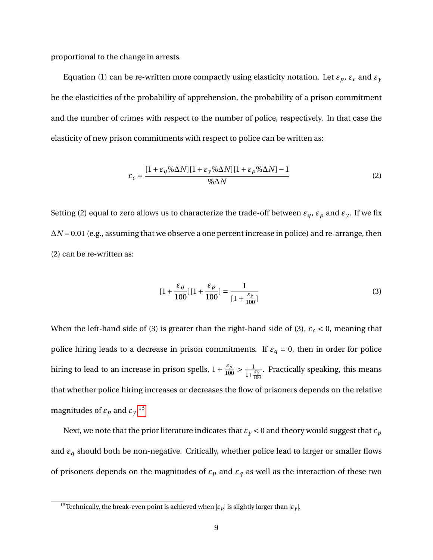proportional to the change in arrests.

Equation (1) can be re-written more compactly using elasticity notation. Let  $\varepsilon_p$ ,  $\varepsilon_c$  and  $\varepsilon_y$ be the elasticities of the probability of apprehension, the probability of a prison commitment and the number of crimes with respect to the number of police, respectively. In that case the elasticity of new prison commitments with respect to police can be written as:

$$
\varepsilon_c = \frac{[1 + \varepsilon_q \% \Delta N][1 + \varepsilon_y \% \Delta N][1 + \varepsilon_p \% \Delta N] - 1}{\% \Delta N} \tag{2}
$$

Setting (2) equal to zero allows us to characterize the trade-off between  $\varepsilon_q$ ,  $\varepsilon_p$  and  $\varepsilon_y$ . If we fix ∆*N* = 0.01 (e.g., assuming that we observe a one percent increase in police) and re-arrange, then (2) can be re-written as:

$$
[1 + \frac{\varepsilon_q}{100}][1 + \frac{\varepsilon_p}{100}] = \frac{1}{[1 + \frac{\varepsilon_y}{100}]}
$$
(3)

When the left-hand side of (3) is greater than the right-hand side of (3),  $\varepsilon_c$  < 0, meaning that police hiring leads to a decrease in prison commitments. If  $\varepsilon_q = 0$ , then in order for police hiring to lead to an increase in prison spells,  $1 + \frac{\varepsilon_p}{100} > \frac{1}{1+\varepsilon_p}$  $\frac{\varepsilon y}{1+\frac{\varepsilon y}{100}}$ . Practically speaking, this means that whether police hiring increases or decreases the flow of prisoners depends on the relative magnitudes of  $\varepsilon_p$  and  $\varepsilon_y$ .<sup>[13](#page-9-0)</sup>

Next, we note that the prior literature indicates that  $\varepsilon$ <sub>*y*</sub> < 0 and theory would suggest that  $\varepsilon$ <sub>*p*</sub> and *ε<sup>q</sup>* should both be non-negative. Critically, whether police lead to larger or smaller flows of prisoners depends on the magnitudes of  $\varepsilon_p$  and  $\varepsilon_q$  as well as the interaction of these two

<span id="page-9-0"></span><sup>&</sup>lt;sup>13</sup>Technically, the break-even point is achieved when  $|\varepsilon_p|$  is slightly larger than  $|\varepsilon_y|$ .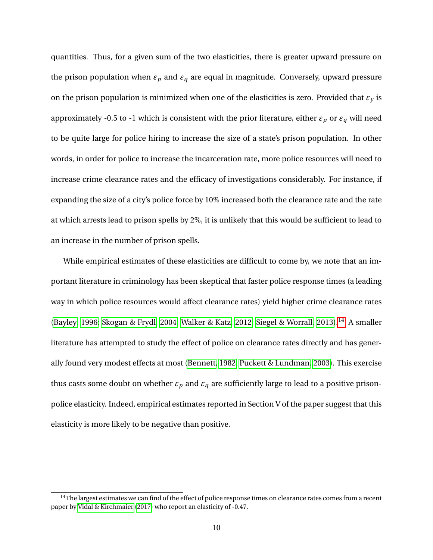quantities. Thus, for a given sum of the two elasticities, there is greater upward pressure on the prison population when  $\varepsilon_p$  and  $\varepsilon_q$  are equal in magnitude. Conversely, upward pressure on the prison population is minimized when one of the elasticities is zero. Provided that  $\varepsilon$ <sup>*y*</sup> is approximately -0.5 to -1 which is consistent with the prior literature, either  $\varepsilon_p$  or  $\varepsilon_q$  will need to be quite large for police hiring to increase the size of a state's prison population. In other words, in order for police to increase the incarceration rate, more police resources will need to increase crime clearance rates and the efficacy of investigations considerably. For instance, if expanding the size of a city's police force by 10% increased both the clearance rate and the rate at which arrests lead to prison spells by 2%, it is unlikely that this would be sufficient to lead to an increase in the number of prison spells.

While empirical estimates of these elasticities are difficult to come by, we note that an important literature in criminology has been skeptical that faster police response times (a leading way in which police resources would affect clearance rates) yield higher crime clearance rates [\(Bayley, 1996;](#page-46-8) [Skogan & Frydl, 2004;](#page-51-6) [Walker & Katz, 2012;](#page-52-8) [Siegel & Worrall, 2013\)](#page-51-7).<sup>[14](#page-10-0)</sup> A smaller literature has attempted to study the effect of police on clearance rates directly and has generally found very modest effects at most [\(Bennett, 1982;](#page-46-9) [Puckett & Lundman, 2003\)](#page-50-12). This exercise thus casts some doubt on whether  $\varepsilon_p$  and  $\varepsilon_q$  are sufficiently large to lead to a positive prisonpolice elasticity. Indeed, empirical estimates reported in Section V of the paper suggest that this elasticity is more likely to be negative than positive.

<span id="page-10-0"></span> $14$ The largest estimates we can find of the effect of police response times on clearance rates comes from a recent paper by [Vidal & Kirchmaier](#page-52-9) [\(2017\)](#page-52-9) who report an elasticity of -0.47.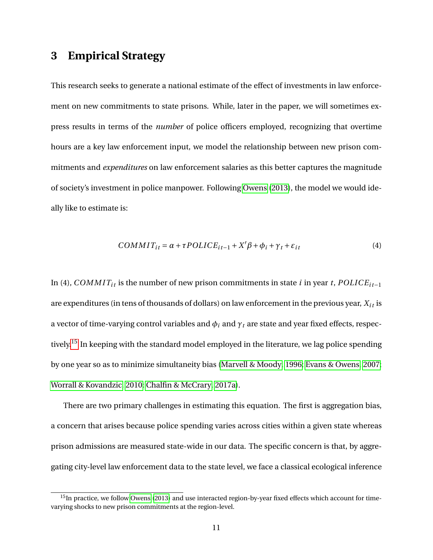## **3 Empirical Strategy**

This research seeks to generate a national estimate of the effect of investments in law enforcement on new commitments to state prisons. While, later in the paper, we will sometimes express results in terms of the *number* of police officers employed, recognizing that overtime hours are a key law enforcement input, we model the relationship between new prison commitments and *expenditures* on law enforcement salaries as this better captures the magnitude of society's investment in police manpower. Following [Owens](#page-50-5) [\(2013\)](#page-50-5), the model we would ideally like to estimate is:

$$
COMMIT_{it} = \alpha + \tau POLICE_{it-1} + X'\beta + \phi_i + \gamma_t + \varepsilon_{it}
$$
\n<sup>(4)</sup>

In (4), *COMMIT<sub>it</sub>* is the number of new prison commitments in state *i* in year *t*,  $POLICE<sub>it-1</sub>$ are expenditures (in tens of thousands of dollars) on law enforcement in the previous year,  $X_{it}$  is a vector of time-varying control variables and  $\phi_i$  and  $\gamma_t$  are state and year fixed effects, respec-tively.<sup>[15](#page-11-0)</sup> In keeping with the standard model employed in the literature, we lag police spending by one year so as to minimize simultaneity bias [\(Marvell & Moody, 1996;](#page-49-2) [Evans & Owens, 2007;](#page-48-3) [Worrall & Kovandzic, 2010;](#page-52-1) [Chalfin & McCrary, 2017a\)](#page-46-3).

There are two primary challenges in estimating this equation. The first is aggregation bias, a concern that arises because police spending varies across cities within a given state whereas prison admissions are measured state-wide in our data. The specific concern is that, by aggregating city-level law enforcement data to the state level, we face a classical ecological inference

<span id="page-11-0"></span> $15$ In practice, we follow [Owens](#page-50-5) [\(2013\)](#page-50-5) and use interacted region-by-year fixed effects which account for timevarying shocks to new prison commitments at the region-level.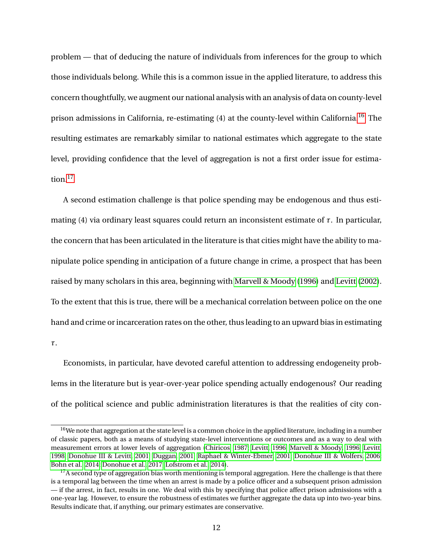problem — that of deducing the nature of individuals from inferences for the group to which those individuals belong. While this is a common issue in the applied literature, to address this concern thoughtfully, we augment our national analysis with an analysis of data on county-level prison admissions in California, re-estimating (4) at the county-level within California.<sup>[16](#page-12-0)</sup> The resulting estimates are remarkably similar to national estimates which aggregate to the state level, providing confidence that the level of aggregation is not a first order issue for estimation. $17$ 

A second estimation challenge is that police spending may be endogenous and thus estimating (4) via ordinary least squares could return an inconsistent estimate of *τ*. In particular, the concern that has been articulated in the literature is that cities might have the ability to manipulate police spending in anticipation of a future change in crime, a prospect that has been raised by many scholars in this area, beginning with [Marvell & Moody](#page-49-2) [\(1996\)](#page-49-2) and [Levitt](#page-49-3) [\(2002\)](#page-49-3). To the extent that this is true, there will be a mechanical correlation between police on the one hand and crime or incarceration rates on the other, thus leading to an upward bias in estimating *τ*.

Economists, in particular, have devoted careful attention to addressing endogeneity problems in the literature but is year-over-year police spending actually endogenous? Our reading of the political science and public administration literatures is that the realities of city con-

<span id="page-12-0"></span> $16$ We note that aggregation at the state level is a common choice in the applied literature, including in a number of classic papers, both as a means of studying state-level interventions or outcomes and as a way to deal with measurement errors at lower levels of aggregation [\(Chiricos, 1987;](#page-47-10) [Levitt, 1996;](#page-49-11) [Marvell & Moody, 1996;](#page-49-2) [Levitt,](#page-49-12) [1998;](#page-49-12) [Donohue III & Levitt, 2001;](#page-47-11) [Duggan, 2001;](#page-47-12) [Raphael & Winter-Ebmer, 2001;](#page-51-8) [Donohue III & Wolfers, 2006;](#page-47-13) [Bohn et al., 2014;](#page-46-10) [Donohue et al., 2017;](#page-47-14) [Lofstrom et al., 2014\)](#page-49-13).

<span id="page-12-1"></span> $17A$  second type of aggregation bias worth mentioning is temporal aggregation. Here the challenge is that there is a temporal lag between the time when an arrest is made by a police officer and a subsequent prison admission — if the arrest, in fact, results in one. We deal with this by specifying that police affect prison admissions with a one-year lag. However, to ensure the robustness of estimates we further aggregate the data up into two-year bins. Results indicate that, if anything, our primary estimates are conservative.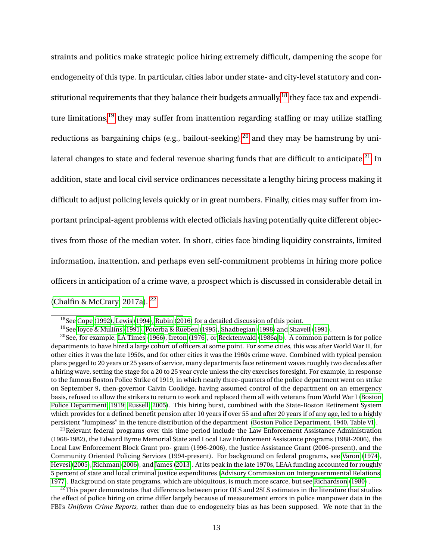straints and politics make strategic police hiring extremely difficult, dampening the scope for endogeneity of this type. In particular, cities labor under state- and city-level statutory and constitutional requirements that they balance their budgets annually,  $^{18}$  $^{18}$  $^{18}$  they face tax and expenditure limitations, $19$  they may suffer from inattention regarding staffing or may utilize staffing reductions as bargaining chips (e.g., bailout-seeking),<sup>[20](#page-13-2)</sup> and they may be hamstrung by uni-lateral changes to state and federal revenue sharing funds that are difficult to anticipate.<sup>[21](#page-13-3)</sup> In addition, state and local civil service ordinances necessitate a lengthy hiring process making it difficult to adjust policing levels quickly or in great numbers. Finally, cities may suffer from important principal-agent problems with elected officials having potentially quite different objectives from those of the median voter. In short, cities face binding liquidity constraints, limited information, inattention, and perhaps even self-commitment problems in hiring more police officers in anticipation of a crime wave, a prospect which is discussed in considerable detail in [\(Chalfin & McCrary, 2017a\)](#page-46-3). [22](#page-13-4)

<span id="page-13-3"></span> $^{21}$ Relevant federal programs over this time period include the Law Enforcement Assistance Administration (1968-1982), the Edward Byrne Memorial State and Local Law Enforcement Assistance programs (1988-2006), the Local Law Enforcement Block Grant pro- gram (1996-2006), the Justice Assistance Grant (2006-present), and the Community Oriented Policing Services (1994-present). For background on federal programs, see [Varon](#page-52-10) [\(1974\)](#page-52-10), [Hevesi](#page-48-14) [\(2005\)](#page-48-14), [Richman](#page-51-14) [\(2006\)](#page-51-14), and [James](#page-48-15) [\(2013\)](#page-48-15). At its peak in the late 1970s, LEAA funding accounted for roughly 5 percent of state and local criminal justice expenditures [\(Advisory Commission on Intergovernmental Relations,](#page-46-13) [1977\)](#page-46-13). Background on state programs, which are ubiquitous, is much more scarce, but see [Richardson](#page-51-15) [\(1980\)](#page-51-15) .

<span id="page-13-4"></span><sup>22</sup>This paper demonstrates that differences between prior OLS and 2SLS estimates in the literature that studies the effect of police hiring on crime differ largely because of measurement errors in police manpower data in the FBI's *Uniform Crime Reports*, rather than due to endogeneity bias as has been supposed. We note that in the

<span id="page-13-0"></span><sup>18</sup>See [Cope](#page-47-15) [\(1992\)](#page-47-15), [Lewis](#page-49-14) [\(1994\)](#page-49-14), [Rubin](#page-51-9) [\(2016\)](#page-51-9) for a detailed discussion of this point.

<span id="page-13-2"></span><span id="page-13-1"></span><sup>19</sup>See [Joyce & Mullins](#page-48-12) [\(1991\)](#page-48-12), [Poterba & Rueben](#page-50-13) [\(1995\)](#page-50-13), [Shadbegian](#page-51-10) [\(1998\)](#page-51-10) and [Shavell](#page-51-0) [\(1991\)](#page-51-0).

<sup>&</sup>lt;sup>20</sup>See, for example, [LA Times](#page-49-15) [\(1966\)](#page-49-15), [Ireton](#page-48-13) [\(1976\)](#page-48-13), or [Recktenwald](#page-51-11) [\(1986a,](#page-51-11)[b\)](#page-51-12). A common pattern is for police departments to have hired a large cohort of officers at some point. For some cities, this was after World War II, for other cities it was the late 1950s, and for other cities it was the 1960s crime wave. Combined with typical pension plans pegged to 20 years or 25 years of service, many departments face retirement waves roughly two decades after a hiring wave, setting the stage for a 20 to 25 year cycle unless the city exercises foresight. For example, in response to the famous Boston Police Strike of 1919, in which nearly three-quarters of the police department went on strike on September 9, then-governor Calvin Coolidge, having assumed control of the department on an emergency basis, refused to allow the strikers to return to work and replaced them all with veterans from World War I [\(Boston](#page-46-11) [Police Department, 1919;](#page-46-11) [Russell, 2005\)](#page-51-13). This hiring burst, combined with the State-Boston Retirement System which provides for a defined benefit pension after 10 years if over 55 and after 20 years if of any age, led to a highly persistent "lumpiness" in the tenure distribution of the department [\(Boston Police Department, 1940, Table VI\)](#page-46-12).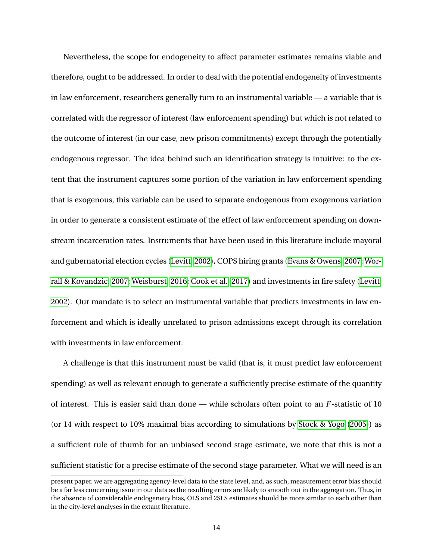Nevertheless, the scope for endogeneity to affect parameter estimates remains viable and therefore, ought to be addressed. In order to deal with the potential endogeneity of investments in law enforcement, researchers generally turn to an instrumental variable — a variable that is correlated with the regressor of interest (law enforcement spending) but which is not related to the outcome of interest (in our case, new prison commitments) except through the potentially endogenous regressor. The idea behind such an identification strategy is intuitive: to the extent that the instrument captures some portion of the variation in law enforcement spending that is exogenous, this variable can be used to separate endogenous from exogenous variation in order to generate a consistent estimate of the effect of law enforcement spending on downstream incarceration rates. Instruments that have been used in this literature include mayoral and gubernatorial election cycles [\(Levitt, 2002\)](#page-49-3), COPS hiring grants [\(Evans & Owens, 2007;](#page-48-3) [Wor](#page-52-11)[rall & Kovandzic, 2007;](#page-52-11) [Weisburst, 2016;](#page-52-2) [Cook et al., 2017\)](#page-47-3) and investments in fire safety [\(Levitt,](#page-49-3) [2002\)](#page-49-3). Our mandate is to select an instrumental variable that predicts investments in law enforcement and which is ideally unrelated to prison admissions except through its correlation with investments in law enforcement.

A challenge is that this instrument must be valid (that is, it must predict law enforcement spending) as well as relevant enough to generate a sufficiently precise estimate of the quantity of interest. This is easier said than done — while scholars often point to an *F*-statistic of 10 (or 14 with respect to 10% maximal bias according to simulations by [Stock & Yogo](#page-51-16) [\(2005\)](#page-51-16)) as a sufficient rule of thumb for an unbiased second stage estimate, we note that this is not a sufficient statistic for a precise estimate of the second stage parameter. What we will need is an

present paper, we are aggregating agency-level data to the state level, and, as such, measurement error bias should be a far less concerning issue in our data as the resulting errors are likely to smooth out in the aggregation. Thus, in the absence of considerable endogeneity bias, OLS and 2SLS estimates should be more similar to each other than in the city-level analyses in the extant literature.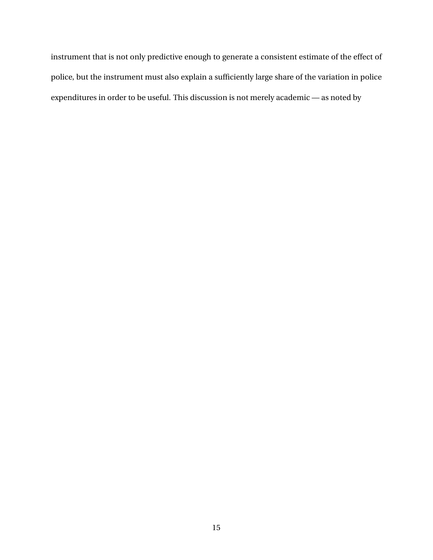instrument that is not only predictive enough to generate a consistent estimate of the effect of police, but the instrument must also explain a sufficiently large share of the variation in police expenditures in order to be useful. This discussion is not merely academic — as noted by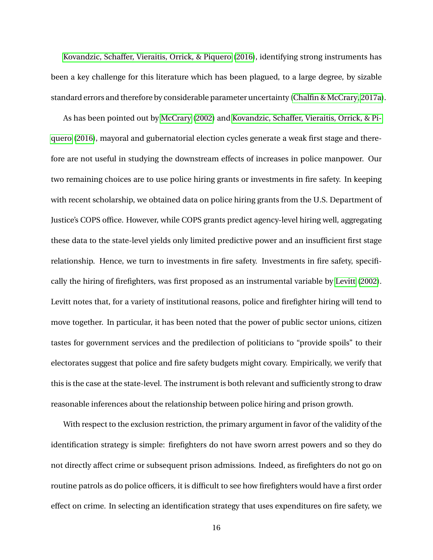[Kovandzic, Schaffer, Vieraitis, Orrick, & Piquero](#page-49-10) [\(2016\)](#page-49-10), identifying strong instruments has been a key challenge for this literature which has been plagued, to a large degree, by sizable standard errors and therefore by considerable parameter uncertainty [\(Chalfin & McCrary, 2017a\)](#page-46-3).

As has been pointed out by [McCrary](#page-50-4) [\(2002\)](#page-50-4) and [Kovandzic, Schaffer, Vieraitis, Orrick, & Pi](#page-49-10)[quero](#page-49-10) [\(2016\)](#page-49-10), mayoral and gubernatorial election cycles generate a weak first stage and therefore are not useful in studying the downstream effects of increases in police manpower. Our two remaining choices are to use police hiring grants or investments in fire safety. In keeping with recent scholarship, we obtained data on police hiring grants from the U.S. Department of Justice's COPS office. However, while COPS grants predict agency-level hiring well, aggregating these data to the state-level yields only limited predictive power and an insufficient first stage relationship. Hence, we turn to investments in fire safety. Investments in fire safety, specifically the hiring of firefighters, was first proposed as an instrumental variable by [Levitt](#page-49-3) [\(2002\)](#page-49-3). Levitt notes that, for a variety of institutional reasons, police and firefighter hiring will tend to move together. In particular, it has been noted that the power of public sector unions, citizen tastes for government services and the predilection of politicians to "provide spoils" to their electorates suggest that police and fire safety budgets might covary. Empirically, we verify that this is the case at the state-level. The instrument is both relevant and sufficiently strong to draw reasonable inferences about the relationship between police hiring and prison growth.

With respect to the exclusion restriction, the primary argument in favor of the validity of the identification strategy is simple: firefighters do not have sworn arrest powers and so they do not directly affect crime or subsequent prison admissions. Indeed, as firefighters do not go on routine patrols as do police officers, it is difficult to see how firefighters would have a first order effect on crime. In selecting an identification strategy that uses expenditures on fire safety, we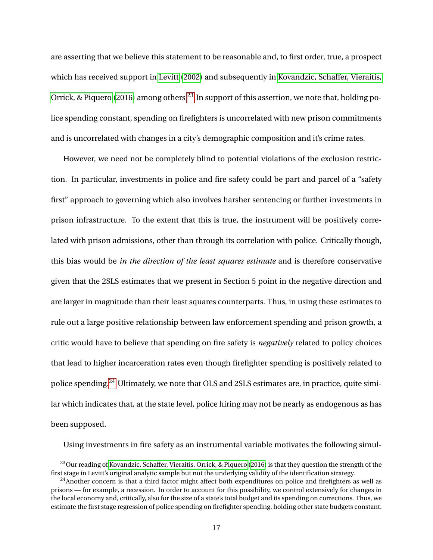are asserting that we believe this statement to be reasonable and, to first order, true, a prospect which has received support in [Levitt](#page-49-3) [\(2002\)](#page-49-3) and subsequently in [Kovandzic, Schaffer, Vieraitis,](#page-49-10) [Orrick, & Piquero](#page-49-10) [\(2016\)](#page-49-10) among others.<sup>[23](#page-17-0)</sup> In support of this assertion, we note that, holding police spending constant, spending on firefighters is uncorrelated with new prison commitments and is uncorrelated with changes in a city's demographic composition and it's crime rates.

However, we need not be completely blind to potential violations of the exclusion restriction. In particular, investments in police and fire safety could be part and parcel of a "safety first" approach to governing which also involves harsher sentencing or further investments in prison infrastructure. To the extent that this is true, the instrument will be positively correlated with prison admissions, other than through its correlation with police. Critically though, this bias would be *in the direction of the least squares estimate* and is therefore conservative given that the 2SLS estimates that we present in Section 5 point in the negative direction and are larger in magnitude than their least squares counterparts. Thus, in using these estimates to rule out a large positive relationship between law enforcement spending and prison growth, a critic would have to believe that spending on fire safety is *negatively* related to policy choices that lead to higher incarceration rates even though firefighter spending is positively related to police spending.[24](#page-17-1) Ultimately, we note that OLS and 2SLS estimates are, in practice, quite similar which indicates that, at the state level, police hiring may not be nearly as endogenous as has been supposed.

Using investments in fire safety as an instrumental variable motivates the following simul-

<span id="page-17-0"></span><sup>&</sup>lt;sup>23</sup>Our reading of [Kovandzic, Schaffer, Vieraitis, Orrick, & Piquero](#page-49-10) [\(2016\)](#page-49-10) is that they question the strength of the first stage in Levitt's original analytic sample but not the underlying validity of the identification strategy.

<span id="page-17-1"></span> $^{24}$ Another concern is that a third factor might affect both expenditures on police and firefighters as well as prisons — for example, a recession. In order to account for this possibility, we control extensively for changes in the local economy and, critically, also for the size of a state's total budget and its spending on corrections. Thus, we estimate the first stage regression of police spending on firefighter spending, holding other state budgets constant.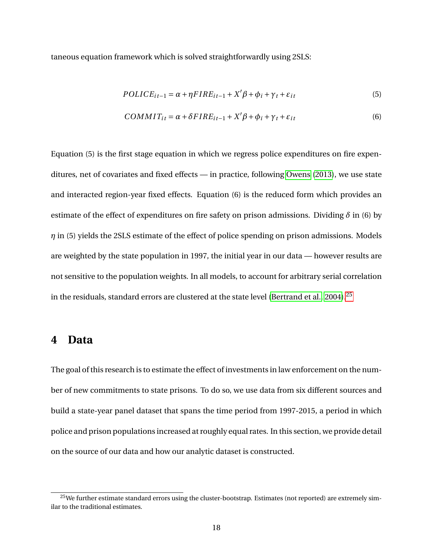taneous equation framework which is solved straightforwardly using 2SLS:

$$
POLICE_{it-1} = \alpha + \eta FIRE_{it-1} + X'\beta + \phi_i + \gamma_t + \varepsilon_{it}
$$
\n
$$
(5)
$$

$$
COMMIT_{it} = \alpha + \delta FIRE_{it-1} + X'\beta + \phi_i + \gamma_t + \varepsilon_{it}
$$
\n
$$
\tag{6}
$$

Equation (5) is the first stage equation in which we regress police expenditures on fire expenditures, net of covariates and fixed effects — in practice, following [Owens](#page-50-5) [\(2013\)](#page-50-5), we use state and interacted region-year fixed effects. Equation (6) is the reduced form which provides an estimate of the effect of expenditures on fire safety on prison admissions. Dividing  $\delta$  in (6) by *η* in (5) yields the 2SLS estimate of the effect of police spending on prison admissions. Models are weighted by the state population in 1997, the initial year in our data — however results are not sensitive to the population weights. In all models, to account for arbitrary serial correlation in the residuals, standard errors are clustered at the state level [\(Bertrand et al., 2004\)](#page-46-14).<sup>[25](#page-18-0)</sup>

## **4 Data**

The goal of this research is to estimate the effect of investments in law enforcement on the number of new commitments to state prisons. To do so, we use data from six different sources and build a state-year panel dataset that spans the time period from 1997-2015, a period in which police and prison populations increased at roughly equal rates. In this section, we provide detail on the source of our data and how our analytic dataset is constructed.

<span id="page-18-0"></span><sup>&</sup>lt;sup>25</sup>We further estimate standard errors using the cluster-bootstrap. Estimates (not reported) are extremely similar to the traditional estimates.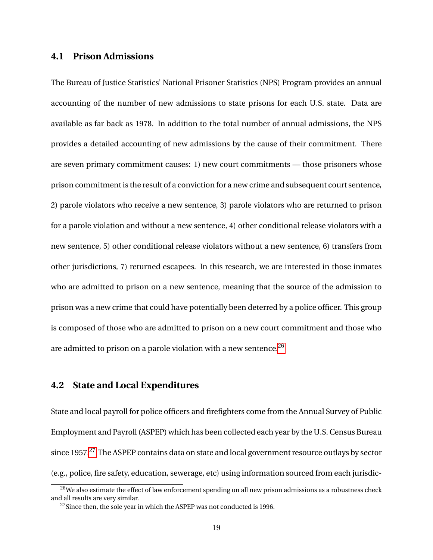## **4.1 Prison Admissions**

The Bureau of Justice Statistics' National Prisoner Statistics (NPS) Program provides an annual accounting of the number of new admissions to state prisons for each U.S. state. Data are available as far back as 1978. In addition to the total number of annual admissions, the NPS provides a detailed accounting of new admissions by the cause of their commitment. There are seven primary commitment causes: 1) new court commitments — those prisoners whose prison commitment is the result of a conviction for a new crime and subsequent court sentence, 2) parole violators who receive a new sentence, 3) parole violators who are returned to prison for a parole violation and without a new sentence, 4) other conditional release violators with a new sentence, 5) other conditional release violators without a new sentence, 6) transfers from other jurisdictions, 7) returned escapees. In this research, we are interested in those inmates who are admitted to prison on a new sentence, meaning that the source of the admission to prison was a new crime that could have potentially been deterred by a police officer. This group is composed of those who are admitted to prison on a new court commitment and those who are admitted to prison on a parole violation with a new sentence.<sup>[26](#page-19-0)</sup>

## **4.2 State and Local Expenditures**

State and local payroll for police officers and firefighters come from the Annual Survey of Public Employment and Payroll (ASPEP) which has been collected each year by the U.S. Census Bureau since 1957.<sup>[27](#page-19-1)</sup> The ASPEP contains data on state and local government resource outlays by sector (e.g., police, fire safety, education, sewerage, etc) using information sourced from each jurisdic-

<span id="page-19-0"></span><sup>&</sup>lt;sup>26</sup>We also estimate the effect of law enforcement spending on all new prison admissions as a robustness check and all results are very similar.

<span id="page-19-1"></span> $27$  Since then, the sole year in which the ASPEP was not conducted is 1996.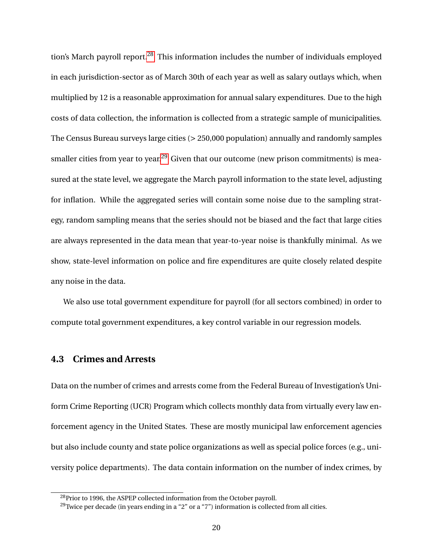tion's March payroll report.<sup>[28](#page-20-0)</sup> This information includes the number of individuals employed in each jurisdiction-sector as of March 30th of each year as well as salary outlays which, when multiplied by 12 is a reasonable approximation for annual salary expenditures. Due to the high costs of data collection, the information is collected from a strategic sample of municipalities. The Census Bureau surveys large cities (> 250,000 population) annually and randomly samples smaller cities from year to year.<sup>[29](#page-20-1)</sup> Given that our outcome (new prison commitments) is measured at the state level, we aggregate the March payroll information to the state level, adjusting for inflation. While the aggregated series will contain some noise due to the sampling strategy, random sampling means that the series should not be biased and the fact that large cities are always represented in the data mean that year-to-year noise is thankfully minimal. As we show, state-level information on police and fire expenditures are quite closely related despite any noise in the data.

We also use total government expenditure for payroll (for all sectors combined) in order to compute total government expenditures, a key control variable in our regression models.

## **4.3 Crimes and Arrests**

Data on the number of crimes and arrests come from the Federal Bureau of Investigation's Uniform Crime Reporting (UCR) Program which collects monthly data from virtually every law enforcement agency in the United States. These are mostly municipal law enforcement agencies but also include county and state police organizations as well as special police forces (e.g., university police departments). The data contain information on the number of index crimes, by

<span id="page-20-0"></span><sup>&</sup>lt;sup>28</sup>Prior to 1996, the ASPEP collected information from the October payroll.

<span id="page-20-1"></span><sup>&</sup>lt;sup>29</sup>Twice per decade (in years ending in a "2" or a "7") information is collected from all cities.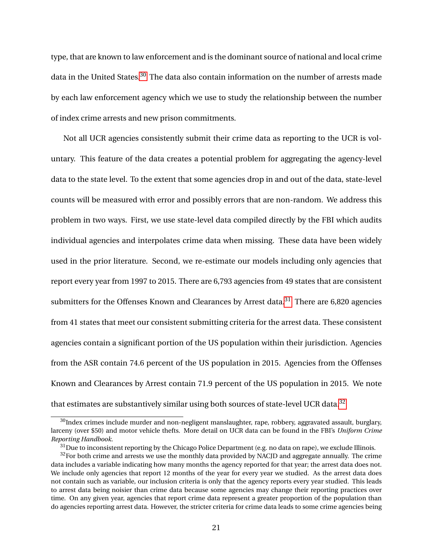type, that are known to law enforcement and is the dominant source of national and local crime data in the United States.<sup>[30](#page-21-0)</sup> The data also contain information on the number of arrests made by each law enforcement agency which we use to study the relationship between the number of index crime arrests and new prison commitments.

Not all UCR agencies consistently submit their crime data as reporting to the UCR is voluntary. This feature of the data creates a potential problem for aggregating the agency-level data to the state level. To the extent that some agencies drop in and out of the data, state-level counts will be measured with error and possibly errors that are non-random. We address this problem in two ways. First, we use state-level data compiled directly by the FBI which audits individual agencies and interpolates crime data when missing. These data have been widely used in the prior literature. Second, we re-estimate our models including only agencies that report every year from 1997 to 2015. There are 6,793 agencies from 49 states that are consistent submitters for the Offenses Known and Clearances by Arrest data.<sup>[31](#page-21-1)</sup> There are 6,820 agencies from 41 states that meet our consistent submitting criteria for the arrest data. These consistent agencies contain a significant portion of the US population within their jurisdiction. Agencies from the ASR contain 74.6 percent of the US population in 2015. Agencies from the Offenses Known and Clearances by Arrest contain 71.9 percent of the US population in 2015. We note that estimates are substantively similar using both sources of state-level UCR data.<sup>[32](#page-21-2)</sup>

<span id="page-21-0"></span> $30$ Index crimes include murder and non-negligent manslaughter, rape, robbery, aggravated assault, burglary, larceny (over \$50) and motor vehicle thefts. More detail on UCR data can be found in the FBI's *Uniform Crime Reporting Handbook*.

<span id="page-21-2"></span><span id="page-21-1"></span><sup>&</sup>lt;sup>31</sup>Due to inconsistent reporting by the Chicago Police Department (e.g. no data on rape), we exclude Illinois.

 $32$  For both crime and arrests we use the monthly data provided by NACJD and aggregate annually. The crime data includes a variable indicating how many months the agency reported for that year; the arrest data does not. We include only agencies that report 12 months of the year for every year we studied. As the arrest data does not contain such as variable, our inclusion criteria is only that the agency reports every year studied. This leads to arrest data being noisier than crime data because some agencies may change their reporting practices over time. On any given year, agencies that report crime data represent a greater proportion of the population than do agencies reporting arrest data. However, the stricter criteria for crime data leads to some crime agencies being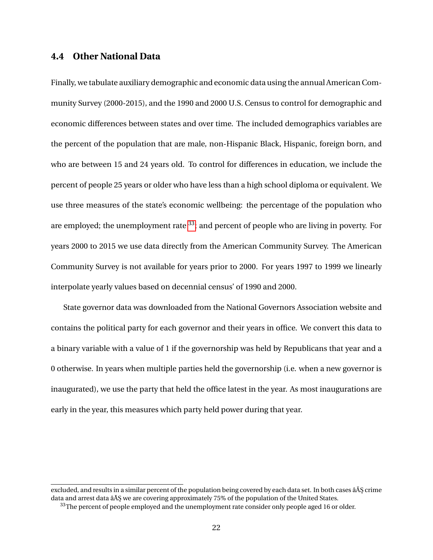## **4.4 Other National Data**

Finally, we tabulate auxiliary demographic and economic data using the annual American Community Survey (2000-2015), and the 1990 and 2000 U.S. Census to control for demographic and economic differences between states and over time. The included demographics variables are the percent of the population that are male, non-Hispanic Black, Hispanic, foreign born, and who are between 15 and 24 years old. To control for differences in education, we include the percent of people 25 years or older who have less than a high school diploma or equivalent. We use three measures of the state's economic wellbeing: the percentage of the population who are employed; the unemployment rate  $^{33}$  $^{33}$  $^{33}$ ; and percent of people who are living in poverty. For years 2000 to 2015 we use data directly from the American Community Survey. The American Community Survey is not available for years prior to 2000. For years 1997 to 1999 we linearly interpolate yearly values based on decennial census' of 1990 and 2000.

State governor data was downloaded from the National Governors Association website and contains the political party for each governor and their years in office. We convert this data to a binary variable with a value of 1 if the governorship was held by Republicans that year and a 0 otherwise. In years when multiple parties held the governorship (i.e. when a new governor is inaugurated), we use the party that held the office latest in the year. As most inaugurations are early in the year, this measures which party held power during that year.

excluded, and results in a similar percent of the population being covered by each data set. In both cases âĂŞ crime data and arrest data â ŧ we are covering approximately 75% of the population of the United States.

<span id="page-22-0"></span><sup>&</sup>lt;sup>33</sup>The percent of people employed and the unemployment rate consider only people aged 16 or older.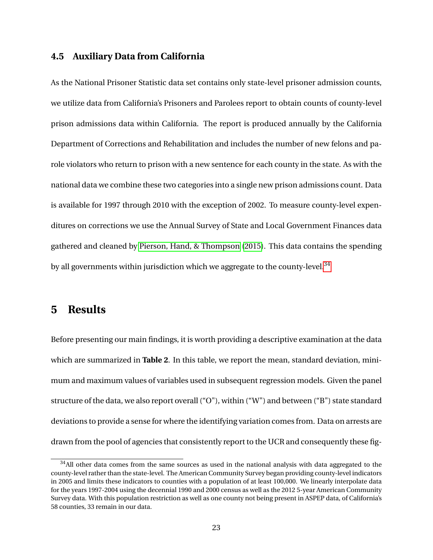#### **4.5 Auxiliary Data from California**

As the National Prisoner Statistic data set contains only state-level prisoner admission counts, we utilize data from California's Prisoners and Parolees report to obtain counts of county-level prison admissions data within California. The report is produced annually by the California Department of Corrections and Rehabilitation and includes the number of new felons and parole violators who return to prison with a new sentence for each county in the state. As with the national data we combine these two categories into a single new prison admissions count. Data is available for 1997 through 2010 with the exception of 2002. To measure county-level expenditures on corrections we use the Annual Survey of State and Local Government Finances data gathered and cleaned by [Pierson, Hand, & Thompson](#page-50-14) [\(2015\)](#page-50-14). This data contains the spending by all governments within jurisdiction which we aggregate to the county-level.<sup>[34](#page-23-0)</sup>

## **5 Results**

Before presenting our main findings, it is worth providing a descriptive examination at the data which are summarized in **Table 2**. In this table, we report the mean, standard deviation, minimum and maximum values of variables used in subsequent regression models. Given the panel structure of the data, we also report overall ("O"), within ("W") and between ("B") state standard deviations to provide a sense for where the identifying variation comes from. Data on arrests are drawn from the pool of agencies that consistently report to the UCR and consequently these fig-

<span id="page-23-0"></span> $34$ All other data comes from the same sources as used in the national analysis with data aggregated to the county-level rather than the state-level. The American Community Survey began providing county-level indicators in 2005 and limits these indicators to counties with a population of at least 100,000. We linearly interpolate data for the years 1997-2004 using the decennial 1990 and 2000 census as well as the 2012 5-year American Community Survey data. With this population restriction as well as one county not being present in ASPEP data, of California's 58 counties, 33 remain in our data.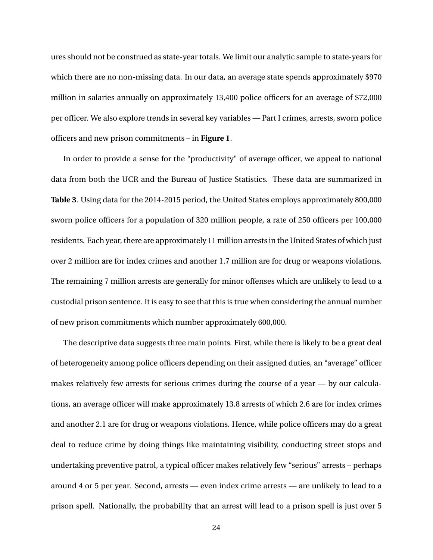ures should not be construed as state-year totals. We limit our analytic sample to state-years for which there are no non-missing data. In our data, an average state spends approximately \$970 million in salaries annually on approximately 13,400 police officers for an average of \$72,000 per officer. We also explore trends in several key variables — Part I crimes, arrests, sworn police officers and new prison commitments – in **Figure 1**.

In order to provide a sense for the "productivity" of average officer, we appeal to national data from both the UCR and the Bureau of Justice Statistics. These data are summarized in **Table 3**. Using data for the 2014-2015 period, the United States employs approximately 800,000 sworn police officers for a population of 320 million people, a rate of 250 officers per 100,000 residents. Each year, there are approximately 11 million arrests in the United States of which just over 2 million are for index crimes and another 1.7 million are for drug or weapons violations. The remaining 7 million arrests are generally for minor offenses which are unlikely to lead to a custodial prison sentence. It is easy to see that this is true when considering the annual number of new prison commitments which number approximately 600,000.

The descriptive data suggests three main points. First, while there is likely to be a great deal of heterogeneity among police officers depending on their assigned duties, an "average" officer makes relatively few arrests for serious crimes during the course of a year  $-$  by our calculations, an average officer will make approximately 13.8 arrests of which 2.6 are for index crimes and another 2.1 are for drug or weapons violations. Hence, while police officers may do a great deal to reduce crime by doing things like maintaining visibility, conducting street stops and undertaking preventive patrol, a typical officer makes relatively few "serious" arrests – perhaps around 4 or 5 per year. Second, arrests — even index crime arrests — are unlikely to lead to a prison spell. Nationally, the probability that an arrest will lead to a prison spell is just over 5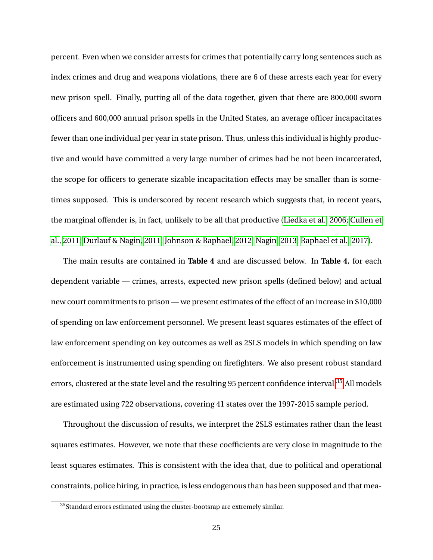percent. Even when we consider arrests for crimes that potentially carry long sentences such as index crimes and drug and weapons violations, there are 6 of these arrests each year for every new prison spell. Finally, putting all of the data together, given that there are 800,000 sworn officers and 600,000 annual prison spells in the United States, an average officer incapacitates fewer than one individual per year in state prison. Thus, unless this individual is highly productive and would have committed a very large number of crimes had he not been incarcerated, the scope for officers to generate sizable incapacitation effects may be smaller than is sometimes supposed. This is underscored by recent research which suggests that, in recent years, the marginal offender is, in fact, unlikely to be all that productive [\(Liedka et al., 2006;](#page-49-8) [Cullen et](#page-47-7) [al., 2011;](#page-47-7) [Durlauf & Nagin, 2011;](#page-48-2) [Johnson & Raphael, 2012;](#page-48-6) [Nagin, 2013;](#page-50-1) [Raphael et al., 2017\)](#page-50-6).

The main results are contained in **Table 4** and are discussed below. In **Table 4**, for each dependent variable — crimes, arrests, expected new prison spells (defined below) and actual new court commitments to prison — we present estimates of the effect of an increase in \$10,000 of spending on law enforcement personnel. We present least squares estimates of the effect of law enforcement spending on key outcomes as well as 2SLS models in which spending on law enforcement is instrumented using spending on firefighters. We also present robust standard errors, clustered at the state level and the resulting 95 percent confidence interval.<sup>[35](#page-25-0)</sup> All models are estimated using 722 observations, covering 41 states over the 1997-2015 sample period.

Throughout the discussion of results, we interpret the 2SLS estimates rather than the least squares estimates. However, we note that these coefficients are very close in magnitude to the least squares estimates. This is consistent with the idea that, due to political and operational constraints, police hiring, in practice, is less endogenous than has been supposed and that mea-

<span id="page-25-0"></span><sup>&</sup>lt;sup>35</sup>Standard errors estimated using the cluster-bootsrap are extremely similar.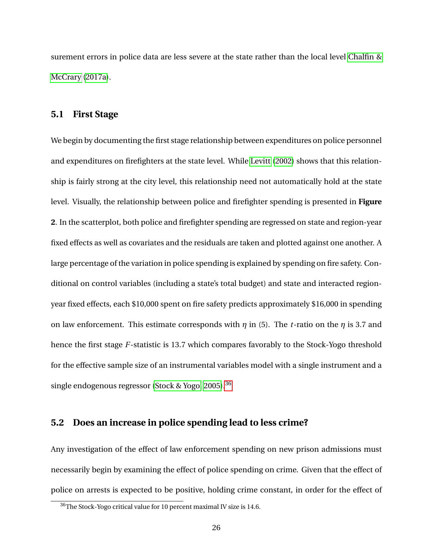surement errors in police data are less severe at the state rather than the local level [Chalfin &](#page-46-3) [McCrary](#page-46-3) [\(2017a\)](#page-46-3).

### **5.1 First Stage**

We begin by documenting the first stage relationship between expenditures on police personnel and expenditures on firefighters at the state level. While [Levitt](#page-49-3) [\(2002\)](#page-49-3) shows that this relationship is fairly strong at the city level, this relationship need not automatically hold at the state level. Visually, the relationship between police and firefighter spending is presented in **Figure 2**. In the scatterplot, both police and firefighter spending are regressed on state and region-year fixed effects as well as covariates and the residuals are taken and plotted against one another. A large percentage of the variation in police spending is explained by spending on fire safety. Conditional on control variables (including a state's total budget) and state and interacted regionyear fixed effects, each \$10,000 spent on fire safety predicts approximately \$16,000 in spending on law enforcement. This estimate corresponds with *η* in (5). The *t*-ratio on the *η* is 3.7 and hence the first stage *F*-statistic is 13.7 which compares favorably to the Stock-Yogo threshold for the effective sample size of an instrumental variables model with a single instrument and a single endogenous regressor [\(Stock & Yogo, 2005\)](#page-51-16).[36](#page-26-0)

#### **5.2 Does an increase in police spending lead to less crime?**

Any investigation of the effect of law enforcement spending on new prison admissions must necessarily begin by examining the effect of police spending on crime. Given that the effect of police on arrests is expected to be positive, holding crime constant, in order for the effect of

<span id="page-26-0"></span><sup>36</sup>The Stock-Yogo critical value for 10 percent maximal IV size is 14.6.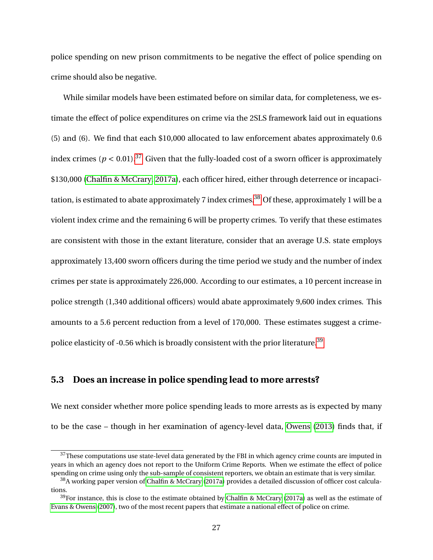police spending on new prison commitments to be negative the effect of police spending on crime should also be negative.

While similar models have been estimated before on similar data, for completeness, we estimate the effect of police expenditures on crime via the 2SLS framework laid out in equations (5) and (6). We find that each \$10,000 allocated to law enforcement abates approximately 0.6 index crimes ( $p < 0.01$ ).<sup>[37](#page-27-0)</sup> Given that the fully-loaded cost of a sworn officer is approximately \$130,000 [\(Chalfin & McCrary, 2017a\)](#page-46-3), each officer hired, either through deterrence or incapaci-tation, is estimated to abate approximately 7 index crimes.<sup>[38](#page-27-1)</sup> Of these, approximately 1 will be a violent index crime and the remaining 6 will be property crimes. To verify that these estimates are consistent with those in the extant literature, consider that an average U.S. state employs approximately 13,400 sworn officers during the time period we study and the number of index crimes per state is approximately 226,000. According to our estimates, a 10 percent increase in police strength (1,340 additional officers) would abate approximately 9,600 index crimes. This amounts to a 5.6 percent reduction from a level of 170,000. These estimates suggest a crime-police elasticity of -0.56 which is broadly consistent with the prior literature.<sup>[39](#page-27-2)</sup>

## **5.3 Does an increase in police spending lead to more arrests?**

We next consider whether more police spending leads to more arrests as is expected by many to be the case – though in her examination of agency-level data, [Owens](#page-50-5) [\(2013\)](#page-50-5) finds that, if

<span id="page-27-0"></span> $37$ These computations use state-level data generated by the FBI in which agency crime counts are imputed in years in which an agency does not report to the Uniform Crime Reports. When we estimate the effect of police spending on crime using only the sub-sample of consistent reporters, we obtain an estimate that is very similar.

<span id="page-27-1"></span><sup>38</sup>A working paper version of [Chalfin & McCrary](#page-46-3) [\(2017a\)](#page-46-3) provides a detailed discussion of officer cost calculations.

<span id="page-27-2"></span> $39$ For instance, this is close to the estimate obtained by [Chalfin & McCrary](#page-46-3) [\(2017a\)](#page-46-3) as well as the estimate of [Evans & Owens](#page-48-3) [\(2007\)](#page-48-3), two of the most recent papers that estimate a national effect of police on crime.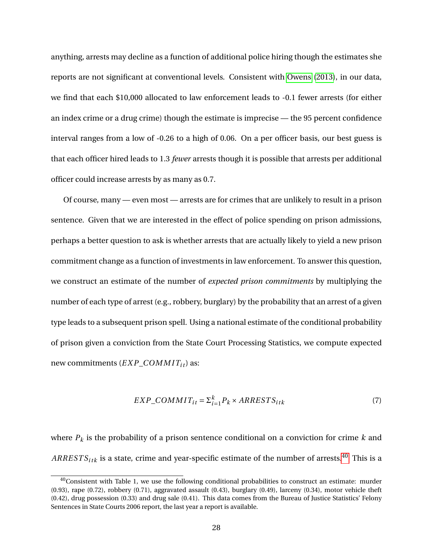anything, arrests may decline as a function of additional police hiring though the estimates she reports are not significant at conventional levels. Consistent with [Owens](#page-50-5) [\(2013\)](#page-50-5), in our data, we find that each \$10,000 allocated to law enforcement leads to -0.1 fewer arrests (for either an index crime or a drug crime) though the estimate is imprecise — the 95 percent confidence interval ranges from a low of -0.26 to a high of 0.06. On a per officer basis, our best guess is that each officer hired leads to 1.3 *fewer* arrests though it is possible that arrests per additional officer could increase arrests by as many as 0.7.

Of course, many — even most — arrests are for crimes that are unlikely to result in a prison sentence. Given that we are interested in the effect of police spending on prison admissions, perhaps a better question to ask is whether arrests that are actually likely to yield a new prison commitment change as a function of investments in law enforcement. To answer this question, we construct an estimate of the number of *expected prison commitments* by multiplying the number of each type of arrest (e.g., robbery, burglary) by the probability that an arrest of a given type leads to a subsequent prison spell. Using a national estimate of the conditional probability of prison given a conviction from the State Court Processing Statistics, we compute expected new commitments (*EXP\_COMMIT<sub>it</sub>*) as:

$$
EXP\_COMMIT_{it} = \sum_{i=1}^{k} P_k \times ARRESTS_{itk}
$$
\n<sup>(7)</sup>

where *P<sup>k</sup>* is the probability of a prison sentence conditional on a conviction for crime *k* and  $ARRESTS<sub>itk</sub>$  is a state, crime and year-specific estimate of the number of arrests.<sup>[40](#page-28-0)</sup> This is a

<span id="page-28-0"></span><sup>&</sup>lt;sup>40</sup>Consistent with Table 1, we use the following conditional probabilities to construct an estimate: murder (0.93), rape (0.72), robbery (0.71), aggravated assault (0.43), burglary (0.49), larceny (0.34), motor vehicle theft (0.42), drug possession (0.33) and drug sale (0.41). This data comes from the Bureau of Justice Statistics' Felony Sentences in State Courts 2006 report, the last year a report is available.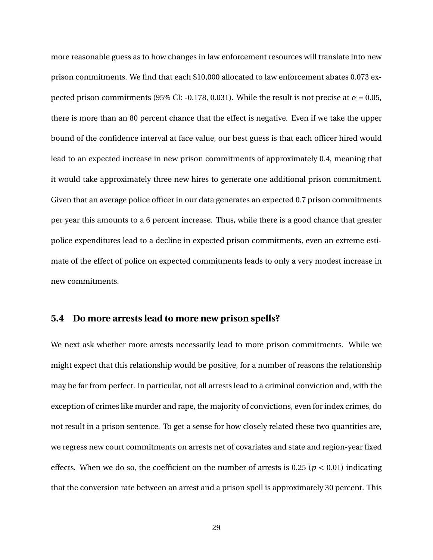more reasonable guess as to how changes in law enforcement resources will translate into new prison commitments. We find that each \$10,000 allocated to law enforcement abates 0.073 expected prison commitments (95% CI: -0.178, 0.031). While the result is not precise at  $\alpha = 0.05$ , there is more than an 80 percent chance that the effect is negative. Even if we take the upper bound of the confidence interval at face value, our best guess is that each officer hired would lead to an expected increase in new prison commitments of approximately 0.4, meaning that it would take approximately three new hires to generate one additional prison commitment. Given that an average police officer in our data generates an expected 0.7 prison commitments per year this amounts to a 6 percent increase. Thus, while there is a good chance that greater police expenditures lead to a decline in expected prison commitments, even an extreme estimate of the effect of police on expected commitments leads to only a very modest increase in new commitments.

### **5.4 Do more arrests lead to more new prison spells?**

We next ask whether more arrests necessarily lead to more prison commitments. While we might expect that this relationship would be positive, for a number of reasons the relationship may be far from perfect. In particular, not all arrests lead to a criminal conviction and, with the exception of crimes like murder and rape, the majority of convictions, even for index crimes, do not result in a prison sentence. To get a sense for how closely related these two quantities are, we regress new court commitments on arrests net of covariates and state and region-year fixed effects. When we do so, the coefficient on the number of arrests is  $0.25$  ( $p < 0.01$ ) indicating that the conversion rate between an arrest and a prison spell is approximately 30 percent. This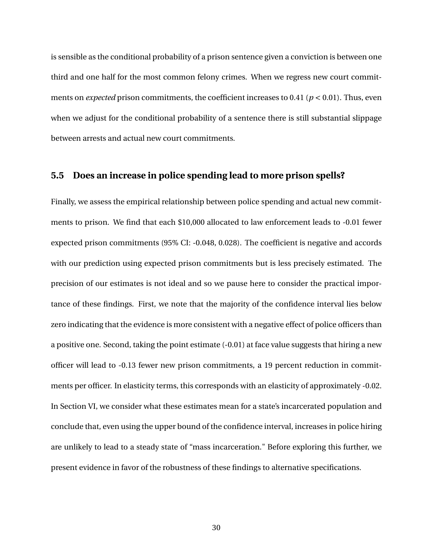is sensible as the conditional probability of a prison sentence given a conviction is between one third and one half for the most common felony crimes. When we regress new court commitments on *expected* prison commitments, the coefficient increases to 0.41 ( $p < 0.01$ ). Thus, even when we adjust for the conditional probability of a sentence there is still substantial slippage between arrests and actual new court commitments.

### **5.5 Does an increase in police spending lead to more prison spells?**

Finally, we assess the empirical relationship between police spending and actual new commitments to prison. We find that each \$10,000 allocated to law enforcement leads to -0.01 fewer expected prison commitments (95% CI: -0.048, 0.028). The coefficient is negative and accords with our prediction using expected prison commitments but is less precisely estimated. The precision of our estimates is not ideal and so we pause here to consider the practical importance of these findings. First, we note that the majority of the confidence interval lies below zero indicating that the evidence is more consistent with a negative effect of police officers than a positive one. Second, taking the point estimate (-0.01) at face value suggests that hiring a new officer will lead to -0.13 fewer new prison commitments, a 19 percent reduction in commitments per officer. In elasticity terms, this corresponds with an elasticity of approximately -0.02. In Section VI, we consider what these estimates mean for a state's incarcerated population and conclude that, even using the upper bound of the confidence interval, increases in police hiring are unlikely to lead to a steady state of "mass incarceration." Before exploring this further, we present evidence in favor of the robustness of these findings to alternative specifications.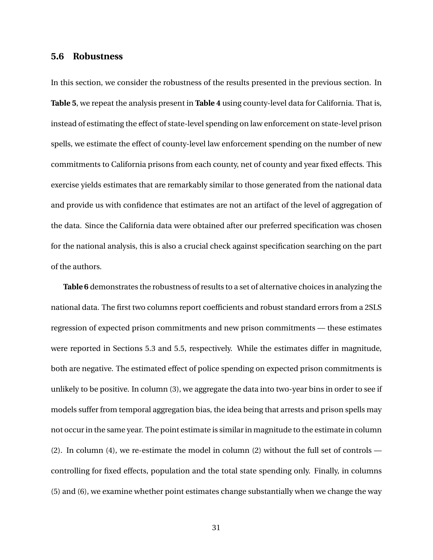## **5.6 Robustness**

In this section, we consider the robustness of the results presented in the previous section. In **Table 5**, we repeat the analysis present in **Table 4** using county-level data for California. That is, instead of estimating the effect of state-level spending on law enforcement on state-level prison spells, we estimate the effect of county-level law enforcement spending on the number of new commitments to California prisons from each county, net of county and year fixed effects. This exercise yields estimates that are remarkably similar to those generated from the national data and provide us with confidence that estimates are not an artifact of the level of aggregation of the data. Since the California data were obtained after our preferred specification was chosen for the national analysis, this is also a crucial check against specification searching on the part of the authors.

**Table 6** demonstrates the robustness of results to a set of alternative choices in analyzing the national data. The first two columns report coefficients and robust standard errors from a 2SLS regression of expected prison commitments and new prison commitments — these estimates were reported in Sections 5.3 and 5.5, respectively. While the estimates differ in magnitude, both are negative. The estimated effect of police spending on expected prison commitments is unlikely to be positive. In column (3), we aggregate the data into two-year bins in order to see if models suffer from temporal aggregation bias, the idea being that arrests and prison spells may not occur in the same year. The point estimate is similar in magnitude to the estimate in column (2). In column (4), we re-estimate the model in column (2) without the full set of controls controlling for fixed effects, population and the total state spending only. Finally, in columns (5) and (6), we examine whether point estimates change substantially when we change the way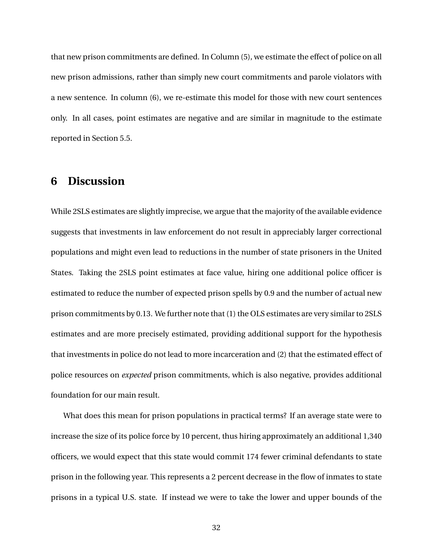that new prison commitments are defined. In Column (5), we estimate the effect of police on all new prison admissions, rather than simply new court commitments and parole violators with a new sentence. In column (6), we re-estimate this model for those with new court sentences only. In all cases, point estimates are negative and are similar in magnitude to the estimate reported in Section 5.5.

## **6 Discussion**

While 2SLS estimates are slightly imprecise, we argue that the majority of the available evidence suggests that investments in law enforcement do not result in appreciably larger correctional populations and might even lead to reductions in the number of state prisoners in the United States. Taking the 2SLS point estimates at face value, hiring one additional police officer is estimated to reduce the number of expected prison spells by 0.9 and the number of actual new prison commitments by 0.13. We further note that (1) the OLS estimates are very similar to 2SLS estimates and are more precisely estimated, providing additional support for the hypothesis that investments in police do not lead to more incarceration and (2) that the estimated effect of police resources on *expected* prison commitments, which is also negative, provides additional foundation for our main result.

What does this mean for prison populations in practical terms? If an average state were to increase the size of its police force by 10 percent, thus hiring approximately an additional 1,340 officers, we would expect that this state would commit 174 fewer criminal defendants to state prison in the following year. This represents a 2 percent decrease in the flow of inmates to state prisons in a typical U.S. state. If instead we were to take the lower and upper bounds of the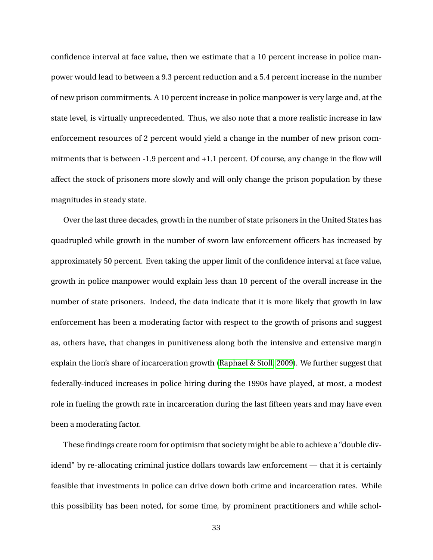confidence interval at face value, then we estimate that a 10 percent increase in police manpower would lead to between a 9.3 percent reduction and a 5.4 percent increase in the number of new prison commitments. A 10 percent increase in police manpower is very large and, at the state level, is virtually unprecedented. Thus, we also note that a more realistic increase in law enforcement resources of 2 percent would yield a change in the number of new prison commitments that is between -1.9 percent and +1.1 percent. Of course, any change in the flow will affect the stock of prisoners more slowly and will only change the prison population by these magnitudes in steady state.

Over the last three decades, growth in the number of state prisoners in the United States has quadrupled while growth in the number of sworn law enforcement officers has increased by approximately 50 percent. Even taking the upper limit of the confidence interval at face value, growth in police manpower would explain less than 10 percent of the overall increase in the number of state prisoners. Indeed, the data indicate that it is more likely that growth in law enforcement has been a moderating factor with respect to the growth of prisons and suggest as, others have, that changes in punitiveness along both the intensive and extensive margin explain the lion's share of incarceration growth [\(Raphael & Stoll, 2009\)](#page-50-15). We further suggest that federally-induced increases in police hiring during the 1990s have played, at most, a modest role in fueling the growth rate in incarceration during the last fifteen years and may have even been a moderating factor.

These findings create room for optimism that society might be able to achieve a "double dividend" by re-allocating criminal justice dollars towards law enforcement — that it is certainly feasible that investments in police can drive down both crime and incarceration rates. While this possibility has been noted, for some time, by prominent practitioners and while schol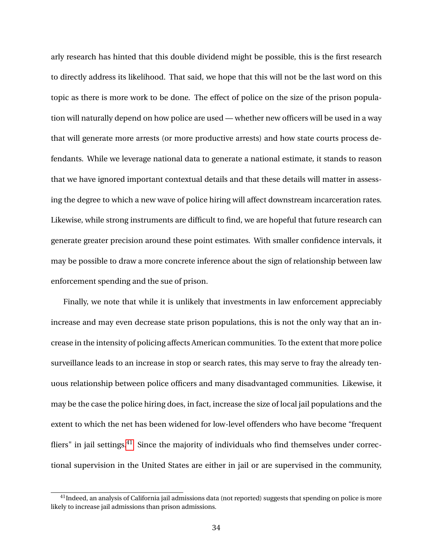arly research has hinted that this double dividend might be possible, this is the first research to directly address its likelihood. That said, we hope that this will not be the last word on this topic as there is more work to be done. The effect of police on the size of the prison population will naturally depend on how police are used — whether new officers will be used in a way that will generate more arrests (or more productive arrests) and how state courts process defendants. While we leverage national data to generate a national estimate, it stands to reason that we have ignored important contextual details and that these details will matter in assessing the degree to which a new wave of police hiring will affect downstream incarceration rates. Likewise, while strong instruments are difficult to find, we are hopeful that future research can generate greater precision around these point estimates. With smaller confidence intervals, it may be possible to draw a more concrete inference about the sign of relationship between law enforcement spending and the sue of prison.

Finally, we note that while it is unlikely that investments in law enforcement appreciably increase and may even decrease state prison populations, this is not the only way that an increase in the intensity of policing affects American communities. To the extent that more police surveillance leads to an increase in stop or search rates, this may serve to fray the already tenuous relationship between police officers and many disadvantaged communities. Likewise, it may be the case the police hiring does, in fact, increase the size of local jail populations and the extent to which the net has been widened for low-level offenders who have become "frequent fliers" in jail settings. $41$  Since the majority of individuals who find themselves under correctional supervision in the United States are either in jail or are supervised in the community,

<span id="page-34-0"></span> $41$ Indeed, an analysis of California jail admissions data (not reported) suggests that spending on police is more likely to increase jail admissions than prison admissions.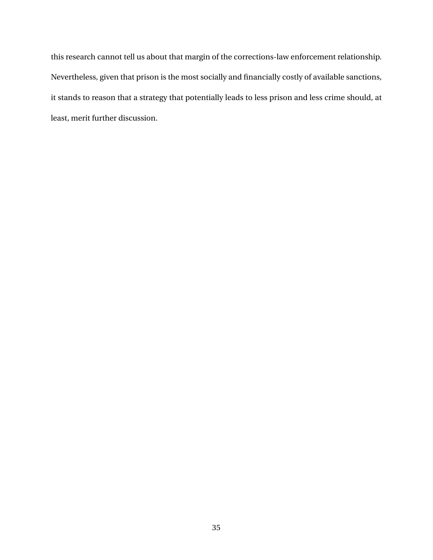this research cannot tell us about that margin of the corrections-law enforcement relationship. Nevertheless, given that prison is the most socially and financially costly of available sanctions, it stands to reason that a strategy that potentially leads to less prison and less crime should, at least, merit further discussion.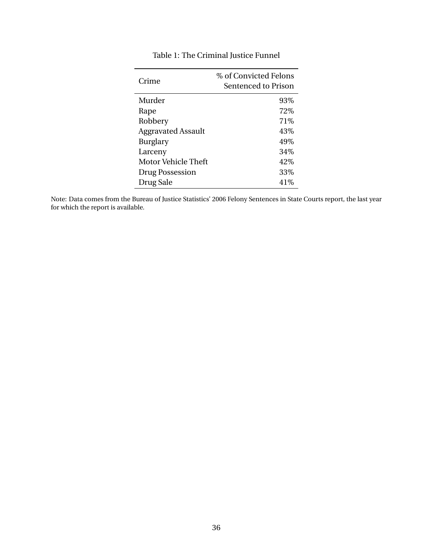| Crime                     | % of Convicted Felons<br>Sentenced to Prison |
|---------------------------|----------------------------------------------|
| Murder                    | 93\%                                         |
| Rape                      | 72\%                                         |
| Robbery                   | 71\%                                         |
| <b>Aggravated Assault</b> | 43%                                          |
| Burglary                  | 49%                                          |
| Larceny                   | 34%                                          |
| Motor Vehicle Theft       | 42\%                                         |
| Drug Possession           | 33%                                          |
| Drug Sale                 | 41\%                                         |

## Table 1: The Criminal Justice Funnel

Note: Data comes from the Bureau of Justice Statistics' 2006 Felony Sentences in State Courts report, the last year for which the report is available.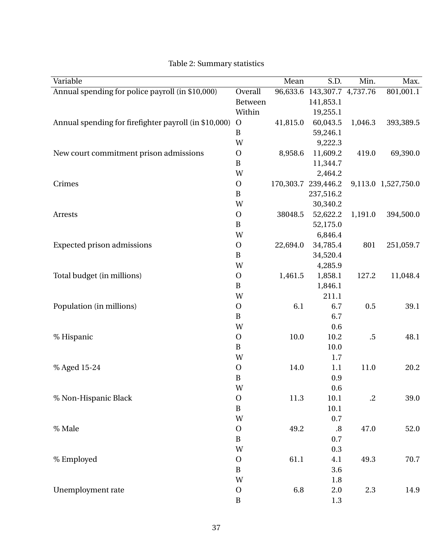| Variable                                              |                | Mean      | S.D.               | Min.       | Max.                |
|-------------------------------------------------------|----------------|-----------|--------------------|------------|---------------------|
| Annual spending for police payroll (in \$10,000)      | Overall        | 96,633.6  | 143,307.7 4,737.76 |            | 801,001.1           |
|                                                       | <b>Between</b> |           | 141,853.1          |            |                     |
|                                                       | Within         |           | 19,255.1           |            |                     |
| Annual spending for firefighter payroll (in \$10,000) | $\mathbf{O}$   | 41,815.0  | 60,043.5           | 1,046.3    | 393,389.5           |
|                                                       | $\, {\bf B}$   |           | 59,246.1           |            |                     |
|                                                       | W              |           | 9,222.3            |            |                     |
| New court commitment prison admissions                | $\mathbf O$    | 8,958.6   | 11,609.2           | 419.0      | 69,390.0            |
|                                                       | $\, {\bf B}$   |           | 11,344.7           |            |                     |
|                                                       | W              |           | 2,464.2            |            |                     |
| Crimes                                                | $\mathbf O$    | 170,303.7 | 239,446.2          |            | 9,113.0 1,527,750.0 |
|                                                       | $\, {\bf B}$   |           | 237,516.2          |            |                     |
|                                                       | W              |           | 30,340.2           |            |                     |
| Arrests                                               | $\mathbf{O}$   | 38048.5   | 52,622.2           | 1,191.0    | 394,500.0           |
|                                                       | $\, {\bf B}$   |           | 52,175.0           |            |                     |
|                                                       | W              |           | 6,846.4            |            |                     |
| <b>Expected prison admissions</b>                     | $\mathbf{O}$   | 22,694.0  | 34,785.4           | 801        | 251,059.7           |
|                                                       | $\, {\bf B}$   |           | 34,520.4           |            |                     |
|                                                       | W              |           | 4,285.9            |            |                     |
| Total budget (in millions)                            | $\mathbf{O}$   | 1,461.5   | 1,858.1            | 127.2      | 11,048.4            |
|                                                       | $\, {\bf B}$   |           | 1,846.1            |            |                     |
|                                                       | W              |           | 211.1              |            |                     |
| Population (in millions)                              | $\mathbf O$    | 6.1       | 6.7                | 0.5        | 39.1                |
|                                                       | $\, {\bf B}$   |           | 6.7                |            |                     |
|                                                       | W              |           | 0.6                |            |                     |
| % Hispanic                                            | $\mathbf{O}$   | 10.0      | 10.2               | $.5\,$     | 48.1                |
|                                                       | $\, {\bf B}$   |           | 10.0               |            |                     |
|                                                       | W              |           | 1.7                |            |                     |
| % Aged 15-24                                          | $\mathbf{O}$   | 14.0      | 1.1                | 11.0       | 20.2                |
|                                                       | $\, {\bf B}$   |           | 0.9                |            |                     |
|                                                       | W              |           | 0.6                |            |                     |
| % Non-Hispanic Black                                  | $\mathbf{O}$   | 11.3      | 10.1               | $\cdot$ .2 | 39.0                |
|                                                       | $\, {\bf B}$   |           | 10.1               |            |                     |
|                                                       | W              |           | 0.7                |            |                     |
| % Male                                                | $\mathbf O$    | 49.2      | $\boldsymbol{.8}$  | 47.0       | 52.0                |
|                                                       | $\, {\bf B}$   |           | 0.7                |            |                     |
|                                                       | W              |           | 0.3                |            |                     |
| % Employed                                            | $\mathbf O$    | 61.1      | 4.1                | 49.3       | 70.7                |
|                                                       | $\, {\bf B}$   |           | 3.6                |            |                     |
|                                                       | W              |           | 1.8                |            |                     |
| Unemployment rate                                     | $\mathbf{O}$   | 6.8       | 2.0                | 2.3        | 14.9                |
|                                                       | $\bf{B}$       |           | 1.3                |            |                     |

## Table 2: Summary statistics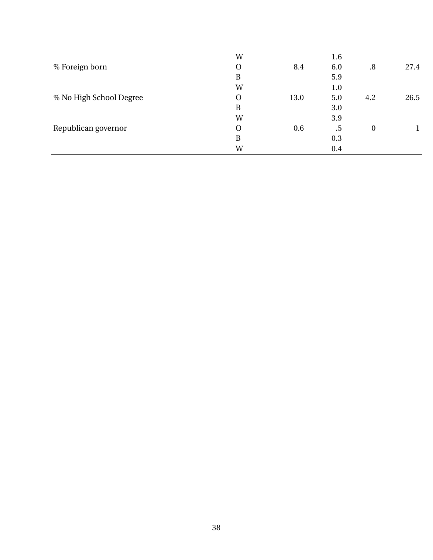| W |                         | 1.6 |          |      |
|---|-------------------------|-----|----------|------|
| O | 8.4                     | 6.0 | .8       | 27.4 |
| B |                         | 5.9 |          |      |
| W |                         | 1.0 |          |      |
| O | 13.0                    | 5.0 | 4.2      | 26.5 |
| B |                         | 3.0 |          |      |
| W |                         | 3.9 |          |      |
| O | 0.6                     | .5  | $\bf{0}$ |      |
| B |                         | 0.3 |          |      |
| W |                         | 0.4 |          |      |
|   | % No High School Degree |     |          |      |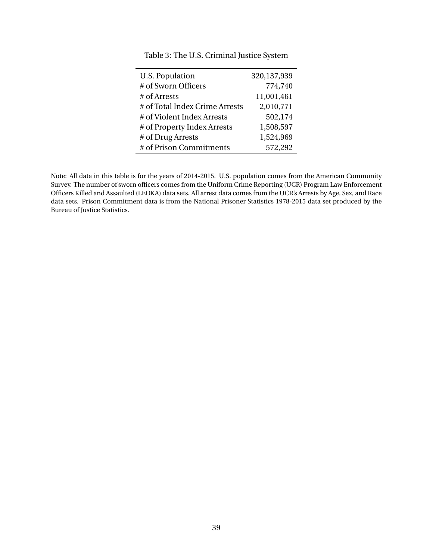| <b>U.S. Population</b>         | 320,137,939 |
|--------------------------------|-------------|
| # of Sworn Officers            | 774,740     |
| # of Arrests                   | 11,001,461  |
| # of Total Index Crime Arrests | 2,010,771   |
| # of Violent Index Arrests     | 502,174     |
| # of Property Index Arrests    | 1,508,597   |
| # of Drug Arrests              | 1,524,969   |
| # of Prison Commitments        | 572,292     |

Table 3: The U.S. Criminal Justice System

Note: All data in this table is for the years of 2014-2015. U.S. population comes from the American Community Survey. The number of sworn officers comes from the Uniform Crime Reporting (UCR) Program Law Enforcement Officers Killed and Assaulted (LEOKA) data sets. All arrest data comes from the UCR's Arrests by Age, Sex, and Race data sets. Prison Commitment data is from the National Prisoner Statistics 1978-2015 data set produced by the Bureau of Justice Statistics.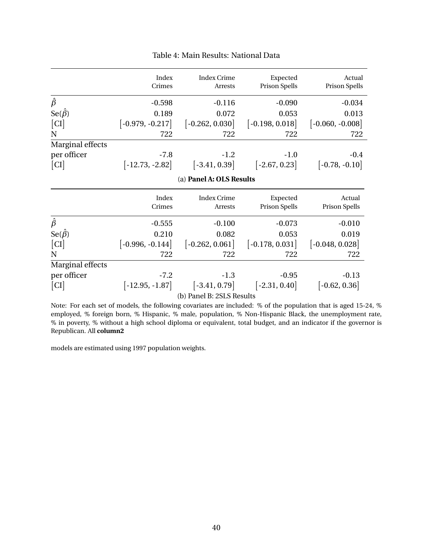|                   | Index<br>Crimes          | Index Crime<br>Arrests | Expected<br><b>Prison Spells</b> | Actual<br><b>Prison Spells</b> |  |
|-------------------|--------------------------|------------------------|----------------------------------|--------------------------------|--|
| $\hat{\beta}$     | $-0.598$                 | $-0.116$               | $-0.090$                         | $-0.034$                       |  |
| $Se(\hat{\beta})$ | 0.189                    | 0.072                  | 0.053                            | 0.013                          |  |
| CI                | $[-0.979, -0.217]$       | $[-0.262, 0.030]$      | $[-0.198, 0.018]$                | $[-0.060, -0.008]$             |  |
| N                 | 722                      | 722                    | 722                              | 722                            |  |
| Marginal effects  |                          |                        |                                  |                                |  |
| per officer       | $-7.8$                   | $-1.2$                 | $-1.0$                           | $-0.4$                         |  |
| CI                | $[-12.73, -2.82]$        | $[-3.41, 0.39]$        | $[-2.67, 0.23]$                  | $[-0.78, -0.10]$               |  |
|                   | (a) Panel A: OLS Results |                        |                                  |                                |  |
|                   | Index                    | <b>Index Crime</b>     | Expected                         | Actual                         |  |
|                   | Crimes                   | <b>Arrests</b>         | <b>Prison Spells</b>             | <b>Prison Spells</b>           |  |

#### Table 4: Main Results: National Data

|                            | Crimes             | Arrests                   | $\frac{1}{2}$<br>Prison Spells | Prison Spells     |
|----------------------------|--------------------|---------------------------|--------------------------------|-------------------|
| $\hat{\beta}$              | $-0.555$           | $-0.100$                  | $-0.073$                       | $-0.010$          |
| $\mathrm{Se}(\hat{\beta})$ | 0.210              | 0.082                     | 0.053                          | 0.019             |
| [CI]                       | $[-0.996, -0.144]$ | $[-0.262, 0.061]$         | $[-0.178, 0.031]$              | $[-0.048, 0.028]$ |
| N                          | 722                | 722                       | 722                            | 722               |
| Marginal effects           |                    |                           |                                |                   |
| per officer                | $-7.2$             | $-1.3$                    | $-0.95$                        | $-0.13$           |
| [CI]                       | $[-12.95, -1.87]$  | $[-3.41, 0.79]$           | $[-2.31, 0.40]$                | $[-0.62, 0.36]$   |
|                            |                    | (b) Panel B: 2SLS Results |                                |                   |

Note: For each set of models, the following covariates are included: % of the population that is aged 15-24, % employed, % foreign born, % Hispanic, % male, population, % Non-Hispanic Black, the unemployment rate, % in poverty, % without a high school diploma or equivalent, total budget, and an indicator if the governor is Republican. All **column2**

models are estimated using 1997 population weights.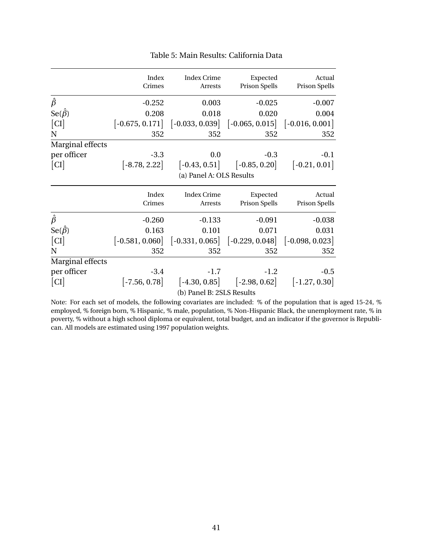|                   | Index<br>Crimes           | <b>Index Crime</b><br>Arrests                                                               | Expected<br>Prison Spells           | Actual<br>Prison Spells       |  |
|-------------------|---------------------------|---------------------------------------------------------------------------------------------|-------------------------------------|-------------------------------|--|
| $\hat{\beta}$     | $-0.252$                  | 0.003                                                                                       | $-0.025$                            | $-0.007$                      |  |
| $Se(\hat{\beta})$ | 0.208                     | 0.018                                                                                       | 0.020                               | 0.004                         |  |
| CI                | $[-0.675, 0.171]$         | $\begin{bmatrix} -0.033, 0.039 \end{bmatrix}$ $\begin{bmatrix} -0.065, 0.015 \end{bmatrix}$ |                                     | $\vert$ -0.016, 0.001 $\vert$ |  |
| N                 | 352                       | 352                                                                                         | 352                                 | 352                           |  |
| Marginal effects  |                           |                                                                                             |                                     |                               |  |
| per officer       | $-3.3$                    | 0.0                                                                                         | $-0.3$                              | $-0.1$                        |  |
| CI                | $[-8.78, 2.22]$           | $\left[-0.43, 0.51\right]$                                                                  | $[-0.85, 0.20]$                     | $\left[-0.21, 0.01\right]$    |  |
|                   |                           | (a) Panel A: OLS Results                                                                    |                                     |                               |  |
|                   | Index                     | <b>Index Crime</b>                                                                          | Expected                            | Actual                        |  |
|                   | Crimes                    | Arrests                                                                                     | Prison Spells                       | Prison Spells                 |  |
| $\hat{\beta}$     | $-0.260$                  | $-0.133$                                                                                    | $-0.091$                            | $-0.038$                      |  |
| $Se(\hat{\beta})$ | 0.163                     | 0.101                                                                                       | 0.071                               | 0.031                         |  |
| CI                | $[-0.581, 0.060]$         |                                                                                             | $[-0.331, 0.065]$ $[-0.229, 0.048]$ | $[-0.098, 0.023]$             |  |
| N                 | 352                       | 352                                                                                         | 352                                 | 352                           |  |
| Marginal effects  |                           |                                                                                             |                                     |                               |  |
| per officer       | $-3.4$                    | $-1.7$                                                                                      | $-1.2$                              | $-0.5$                        |  |
| CI                | $[-7.56, 0.78]$           | $[-4.30, 0.85]$                                                                             | $[-2.98, 0.62]$                     | $[-1.27, 0.30]$               |  |
|                   | (b) Panel B: 2SLS Results |                                                                                             |                                     |                               |  |

#### Table 5: Main Results: California Data

Note: For each set of models, the following covariates are included: % of the population that is aged 15-24, % employed, % foreign born, % Hispanic, % male, population, % Non-Hispanic Black, the unemployment rate, % in poverty, % without a high school diploma or equivalent, total budget, and an indicator if the governor is Republican. All models are estimated using 1997 population weights.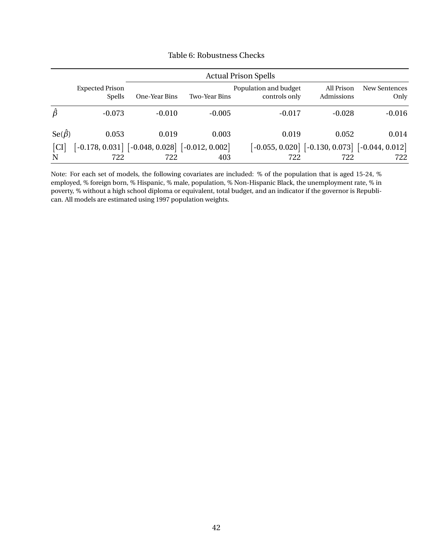|                   | <b>Actual Prison Spells</b>                           |               |               |                                        |                                                       |                       |
|-------------------|-------------------------------------------------------|---------------|---------------|----------------------------------------|-------------------------------------------------------|-----------------------|
|                   | <b>Expected Prison</b><br><b>Spells</b>               | One-Year Bins | Two-Year Bins | Population and budget<br>controls only | All Prison<br>Admissions                              | New Sentences<br>Only |
| $\hat{\beta}$     | $-0.073$                                              | $-0.010$      | $-0.005$      | $-0.017$                               | $-0.028$                                              | $-0.016$              |
| $Se(\hat{\beta})$ | 0.053                                                 | 0.019         | 0.003         | 0.019                                  | 0.052                                                 | 0.014                 |
| CI                | $[-0.178, 0.031]$ $[-0.048, 0.028]$ $[-0.012, 0.002]$ |               |               |                                        | $[-0.055, 0.020]$ $[-0.130, 0.073]$ $[-0.044, 0.012]$ |                       |
| N                 | 722                                                   | 722           | 403           | 722                                    | 722                                                   | 722                   |

#### Table 6: Robustness Checks

Note: For each set of models, the following covariates are included: % of the population that is aged 15-24, % employed, % foreign born, % Hispanic, % male, population, % Non-Hispanic Black, the unemployment rate, % in poverty, % without a high school diploma or equivalent, total budget, and an indicator if the governor is Republican. All models are estimated using 1997 population weights.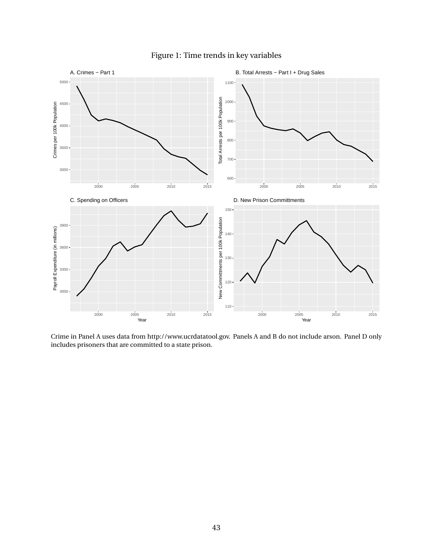

### Figure 1: Time trends in key variables

Crime in Panel A uses data from http://www.ucrdatatool.gov. Panels A and B do not include arson. Panel D only includes prisoners that are committed to a state prison.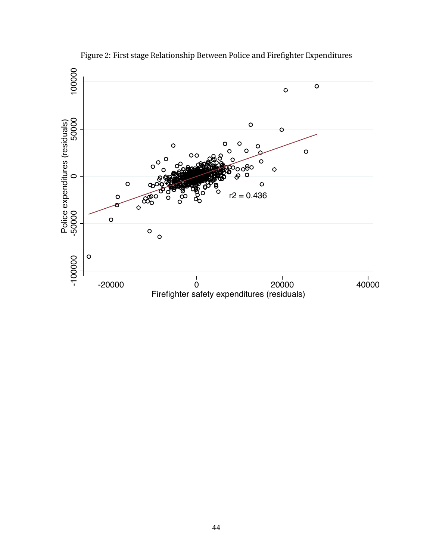

Figure 2: First stage Relationship Between Police and Firefighter Expenditures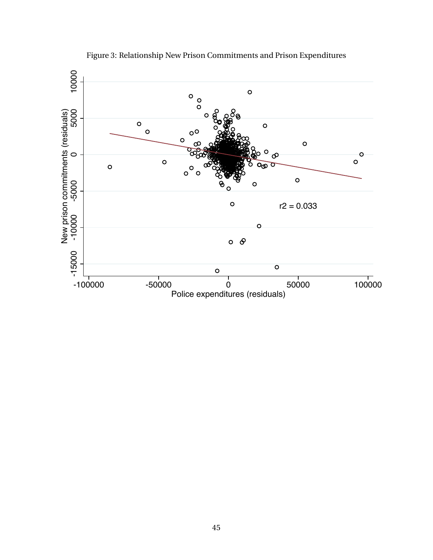

Figure 3: Relationship New Prison Commitments and Prison Expenditures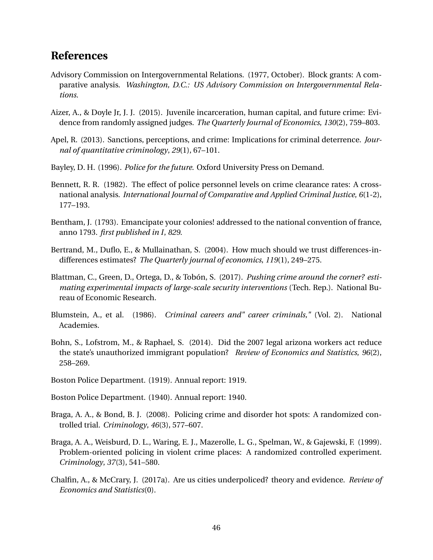## **References**

- <span id="page-46-13"></span>Advisory Commission on Intergovernmental Relations. (1977, October). Block grants: A comparative analysis. *Washington, D.C.: US Advisory Commission on Intergovernmental Relations*.
- <span id="page-46-7"></span>Aizer, A., & Doyle Jr, J. J. (2015). Juvenile incarceration, human capital, and future crime: Evidence from randomly assigned judges. *The Quarterly Journal of Economics*, *130*(2), 759–803.
- <span id="page-46-1"></span>Apel, R. (2013). Sanctions, perceptions, and crime: Implications for criminal deterrence. *Journal of quantitative criminology*, *29*(1), 67–101.
- <span id="page-46-8"></span>Bayley, D. H. (1996). *Police for the future*. Oxford University Press on Demand.
- <span id="page-46-9"></span>Bennett, R. R. (1982). The effect of police personnel levels on crime clearance rates: A crossnational analysis. *International Journal of Comparative and Applied Criminal Justice*, *6*(1-2), 177–193.
- <span id="page-46-0"></span>Bentham, J. (1793). Emancipate your colonies! addressed to the national convention of france, anno 1793. *first published in I*, *829*.
- <span id="page-46-14"></span>Bertrand, M., Duflo, E., & Mullainathan, S. (2004). How much should we trust differences-indifferences estimates? *The Quarterly journal of economics*, *119*(1), 249–275.
- <span id="page-46-6"></span>Blattman, C., Green, D., Ortega, D., & Tobón, S. (2017). *Pushing crime around the corner? estimating experimental impacts of large-scale security interventions* (Tech. Rep.). National Bureau of Economic Research.
- <span id="page-46-2"></span>Blumstein, A., et al. (1986). *Criminal careers and" career criminals,"* (Vol. 2). National Academies.
- <span id="page-46-10"></span>Bohn, S., Lofstrom, M., & Raphael, S. (2014). Did the 2007 legal arizona workers act reduce the state's unauthorized immigrant population? *Review of Economics and Statistics*, *96*(2), 258–269.
- <span id="page-46-11"></span>Boston Police Department. (1919). Annual report: 1919.
- <span id="page-46-12"></span>Boston Police Department. (1940). Annual report: 1940.
- <span id="page-46-5"></span>Braga, A. A., & Bond, B. J. (2008). Policing crime and disorder hot spots: A randomized controlled trial. *Criminology*, *46*(3), 577–607.
- <span id="page-46-4"></span>Braga, A. A., Weisburd, D. L., Waring, E. J., Mazerolle, L. G., Spelman, W., & Gajewski, F. (1999). Problem-oriented policing in violent crime places: A randomized controlled experiment. *Criminology*, *37*(3), 541–580.
- <span id="page-46-3"></span>Chalfin, A., & McCrary, J. (2017a). Are us cities underpoliced? theory and evidence. *Review of Economics and Statistics*(0).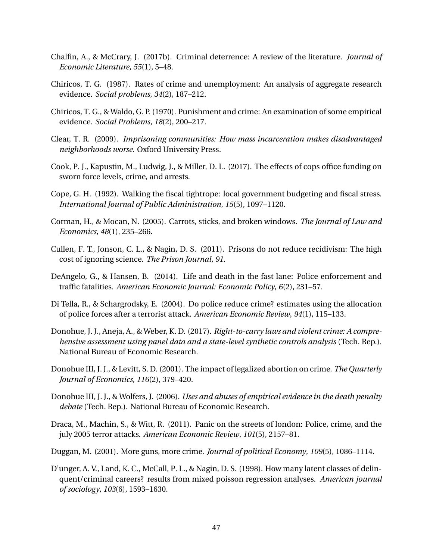- <span id="page-47-6"></span>Chalfin, A., & McCrary, J. (2017b). Criminal deterrence: A review of the literature. *Journal of Economic Literature*, *55*(1), 5–48.
- <span id="page-47-10"></span>Chiricos, T. G. (1987). Rates of crime and unemployment: An analysis of aggregate research evidence. *Social problems*, *34*(2), 187–212.
- <span id="page-47-0"></span>Chiricos, T. G., & Waldo, G. P. (1970). Punishment and crime: An examination of some empirical evidence. *Social Problems*, *18*(2), 200–217.
- <span id="page-47-8"></span>Clear, T. R. (2009). *Imprisoning communities: How mass incarceration makes disadvantaged neighborhoods worse*. Oxford University Press.
- <span id="page-47-3"></span>Cook, P. J., Kapustin, M., Ludwig, J., & Miller, D. L. (2017). The effects of cops office funding on sworn force levels, crime, and arrests.
- <span id="page-47-15"></span>Cope, G. H. (1992). Walking the fiscal tightrope: local government budgeting and fiscal stress. *International Journal of Public Administration*, *15*(5), 1097–1120.
- <span id="page-47-9"></span>Corman, H., & Mocan, N. (2005). Carrots, sticks, and broken windows. *The Journal of Law and Economics*, *48*(1), 235–266.
- <span id="page-47-7"></span>Cullen, F. T., Jonson, C. L., & Nagin, D. S. (2011). Prisons do not reduce recidivism: The high cost of ignoring science. *The Prison Journal*, *91*.
- <span id="page-47-2"></span>DeAngelo, G., & Hansen, B. (2014). Life and death in the fast lane: Police enforcement and traffic fatalities. *American Economic Journal: Economic Policy*, *6*(2), 231–57.
- <span id="page-47-4"></span>Di Tella, R., & Schargrodsky, E. (2004). Do police reduce crime? estimates using the allocation of police forces after a terrorist attack. *American Economic Review*, *94*(1), 115–133.
- <span id="page-47-14"></span>Donohue, J. J., Aneja, A., & Weber, K. D. (2017). *Right-to-carry laws and violent crime: A comprehensive assessment using panel data and a state-level synthetic controls analysis* (Tech. Rep.). National Bureau of Economic Research.
- <span id="page-47-11"></span>Donohue III, J. J., & Levitt, S. D. (2001). The impact of legalized abortion on crime. *The Quarterly Journal of Economics*, *116*(2), 379–420.
- <span id="page-47-13"></span>Donohue III, J. J., & Wolfers, J. (2006). *Uses and abuses of empirical evidence in the death penalty debate* (Tech. Rep.). National Bureau of Economic Research.
- <span id="page-47-5"></span>Draca, M., Machin, S., & Witt, R. (2011). Panic on the streets of london: Police, crime, and the july 2005 terror attacks. *American Economic Review*, *101*(5), 2157–81.
- <span id="page-47-12"></span>Duggan, M. (2001). More guns, more crime. *Journal of political Economy*, *109*(5), 1086–1114.
- <span id="page-47-1"></span>D'unger, A. V., Land, K. C., McCall, P. L., & Nagin, D. S. (1998). How many latent classes of delinquent/criminal careers? results from mixed poisson regression analyses. *American journal of sociology*, *103*(6), 1593–1630.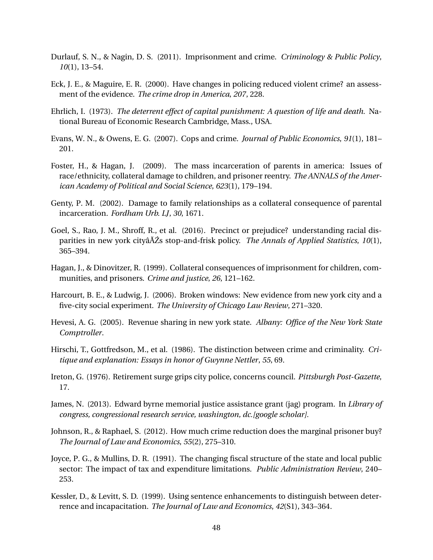- <span id="page-48-2"></span>Durlauf, S. N., & Nagin, D. S. (2011). Imprisonment and crime. *Criminology & Public Policy*, *10*(1), 13–54.
- <span id="page-48-5"></span>Eck, J. E., & Maguire, E. R. (2000). Have changes in policing reduced violent crime? an assessment of the evidence. *The crime drop in America*, *207*, 228.
- <span id="page-48-0"></span>Ehrlich, I. (1973). *The deterrent effect of capital punishment: A question of life and death.* National Bureau of Economic Research Cambridge, Mass., USA.
- <span id="page-48-3"></span>Evans, W. N., & Owens, E. G. (2007). Cops and crime. *Journal of Public Economics*, *91*(1), 181– 201.
- <span id="page-48-9"></span>Foster, H., & Hagan, J. (2009). The mass incarceration of parents in america: Issues of race/ethnicity, collateral damage to children, and prisoner reentry. *The ANNALS of the American Academy of Political and Social Science*, *623*(1), 179–194.
- <span id="page-48-8"></span>Genty, P. M. (2002). Damage to family relationships as a collateral consequence of parental incarceration. *Fordham Urb. LJ*, *30*, 1671.
- <span id="page-48-11"></span>Goel, S., Rao, J. M., Shroff, R., et al. (2016). Precinct or prejudice? understanding racial disparities in new york cityâ $\tilde{A}Z$ s stop-and-frisk policy. *The Annals of Applied Statistics*, *10*(1), 365–394.
- <span id="page-48-7"></span>Hagan, J., & Dinovitzer, R. (1999). Collateral consequences of imprisonment for children, communities, and prisoners. *Crime and justice*, *26*, 121–162.
- <span id="page-48-10"></span>Harcourt, B. E., & Ludwig, J. (2006). Broken windows: New evidence from new york city and a five-city social experiment. *The University of Chicago Law Review*, 271–320.
- <span id="page-48-14"></span>Hevesi, A. G. (2005). Revenue sharing in new york state. *Albany: Office of the New York State Comptroller*.
- <span id="page-48-1"></span>Hirschi, T., Gottfredson, M., et al. (1986). The distinction between crime and criminality. *Critique and explanation: Essays in honor of Gwynne Nettler*, *55*, 69.
- <span id="page-48-13"></span>Ireton, G. (1976). Retirement surge grips city police, concerns council. *Pittsburgh Post-Gazette*, 17.
- <span id="page-48-15"></span>James, N. (2013). Edward byrne memorial justice assistance grant (jag) program. In *Library of congress, congressional research service, washington, dc.[google scholar].*
- <span id="page-48-6"></span>Johnson, R., & Raphael, S. (2012). How much crime reduction does the marginal prisoner buy? *The Journal of Law and Economics*, *55*(2), 275–310.
- <span id="page-48-12"></span>Joyce, P. G., & Mullins, D. R. (1991). The changing fiscal structure of the state and local public sector: The impact of tax and expenditure limitations. *Public Administration Review*, 240– 253.
- <span id="page-48-4"></span>Kessler, D., & Levitt, S. D. (1999). Using sentence enhancements to distinguish between deterrence and incapacitation. *The Journal of Law and Economics*, *42*(S1), 343–364.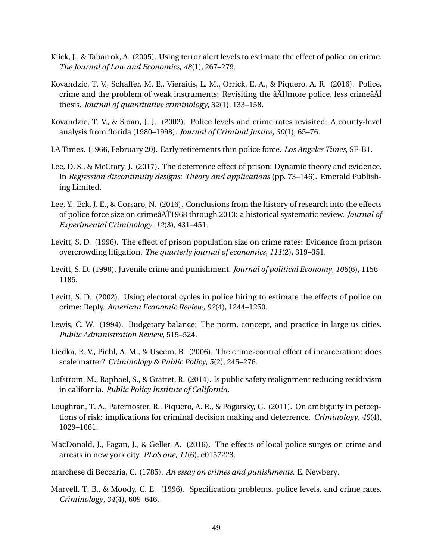- <span id="page-49-4"></span>Klick, J., & Tabarrok, A. (2005). Using terror alert levels to estimate the effect of police on crime. *The Journal of Law and Economics*, *48*(1), 267–279.
- <span id="page-49-10"></span>Kovandzic, T. V., Schaffer, M. E., Vieraitis, L. M., Orrick, E. A., & Piquero, A. R. (2016). Police, crime and the problem of weak instruments: Revisiting the â AIJmore police, less crime â AI thesis. *Journal of quantitative criminology*, *32*(1), 133–158.
- <span id="page-49-6"></span>Kovandzic, T. V., & Sloan, J. J. (2002). Police levels and crime rates revisited: A county-level analysis from florida (1980–1998). *Journal of Criminal Justice*, *30*(1), 65–76.

<span id="page-49-15"></span>LA Times. (1966, February 20). Early retirements thin police force. *Los Angeles Times*, SF-B1.

- <span id="page-49-9"></span>Lee, D. S., & McCrary, J. (2017). The deterrence effect of prison: Dynamic theory and evidence. In *Regression discontinuity designs: Theory and applications* (pp. 73–146). Emerald Publishing Limited.
- <span id="page-49-7"></span>Lee, Y., Eck, J. E., & Corsaro, N. (2016). Conclusions from the history of research into the effects of police force size on crime $\frac{\partial \tilde{A}}{\partial \tilde{A}}$ 1968 through 2013: a historical systematic review. *Journal of Experimental Criminology*, *12*(3), 431–451.
- <span id="page-49-11"></span>Levitt, S. D. (1996). The effect of prison population size on crime rates: Evidence from prison overcrowding litigation. *The quarterly journal of economics*, *111*(2), 319–351.
- <span id="page-49-12"></span>Levitt, S. D. (1998). Juvenile crime and punishment. *Journal of political Economy*, *106*(6), 1156– 1185.
- <span id="page-49-3"></span>Levitt, S. D. (2002). Using electoral cycles in police hiring to estimate the effects of police on crime: Reply. *American Economic Review*, *92*(4), 1244–1250.
- <span id="page-49-14"></span>Lewis, C. W. (1994). Budgetary balance: The norm, concept, and practice in large us cities. *Public Administration Review*, 515–524.
- <span id="page-49-8"></span>Liedka, R. V., Piehl, A. M., & Useem, B. (2006). The crime-control effect of incarceration: does scale matter? *Criminology & Public Policy*, *5*(2), 245–276.
- <span id="page-49-13"></span>Lofstrom, M., Raphael, S., & Grattet, R. (2014). Is public safety realignment reducing recidivism in california. *Public Policy Institute of California*.
- <span id="page-49-1"></span>Loughran, T. A., Paternoster, R., Piquero, A. R., & Pogarsky, G. (2011). On ambiguity in perceptions of risk: implications for criminal decision making and deterrence. *Criminology*, *49*(4), 1029–1061.
- <span id="page-49-5"></span>MacDonald, J., Fagan, J., & Geller, A. (2016). The effects of local police surges on crime and arrests in new york city. *PLoS one*, *11*(6), e0157223.

<span id="page-49-0"></span>marchese di Beccaria, C. (1785). *An essay on crimes and punishments*. E. Newbery.

<span id="page-49-2"></span>Marvell, T. B., & Moody, C. E. (1996). Specification problems, police levels, and crime rates. *Criminology*, *34*(4), 609–646.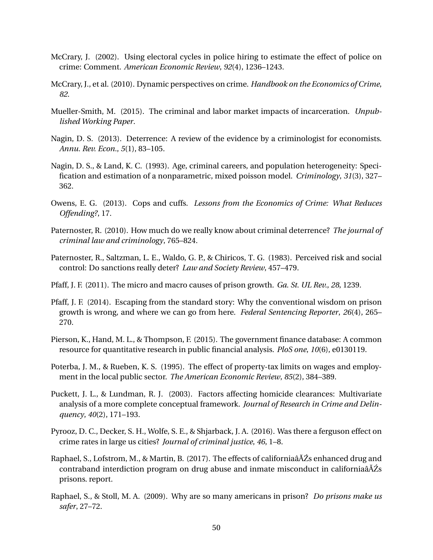- <span id="page-50-4"></span>McCrary, J. (2002). Using electoral cycles in police hiring to estimate the effect of police on crime: Comment. *American Economic Review*, *92*(4), 1236–1243.
- <span id="page-50-0"></span>McCrary, J., et al. (2010). Dynamic perspectives on crime. *Handbook on the Economics of Crime*, *82*.
- <span id="page-50-8"></span>Mueller-Smith, M. (2015). The criminal and labor market impacts of incarceration. *Unpublished Working Paper*.
- <span id="page-50-1"></span>Nagin, D. S. (2013). Deterrence: A review of the evidence by a criminologist for economists. *Annu. Rev. Econ.*, *5*(1), 83–105.
- <span id="page-50-3"></span>Nagin, D. S., & Land, K. C. (1993). Age, criminal careers, and population heterogeneity: Specification and estimation of a nonparametric, mixed poisson model. *Criminology*, *31*(3), 327– 362.
- <span id="page-50-5"></span>Owens, E. G. (2013). Cops and cuffs. *Lessons from the Economics of Crime: What Reduces Offending?*, 17.
- <span id="page-50-7"></span>Paternoster, R. (2010). How much do we really know about criminal deterrence? *The journal of criminal law and criminology*, 765–824.
- <span id="page-50-2"></span>Paternoster, R., Saltzman, L. E., Waldo, G. P., & Chiricos, T. G. (1983). Perceived risk and social control: Do sanctions really deter? *Law and Society Review*, 457–479.
- <span id="page-50-10"></span>Pfaff, J. F. (2011). The micro and macro causes of prison growth. *Ga. St. UL Rev.*, *28*, 1239.
- <span id="page-50-11"></span>Pfaff, J. F. (2014). Escaping from the standard story: Why the conventional wisdom on prison growth is wrong, and where we can go from here. *Federal Sentencing Reporter*, *26*(4), 265– 270.
- <span id="page-50-14"></span>Pierson, K., Hand, M. L., & Thompson, F. (2015). The government finance database: A common resource for quantitative research in public financial analysis. *PloS one*, *10*(6), e0130119.
- <span id="page-50-13"></span>Poterba, J. M., & Rueben, K. S. (1995). The effect of property-tax limits on wages and employment in the local public sector. *The American Economic Review*, *85*(2), 384–389.
- <span id="page-50-12"></span>Puckett, J. L., & Lundman, R. J. (2003). Factors affecting homicide clearances: Multivariate analysis of a more complete conceptual framework. *Journal of Research in Crime and Delinquency*, *40*(2), 171–193.
- <span id="page-50-9"></span>Pyrooz, D. C., Decker, S. H., Wolfe, S. E., & Shjarback, J. A. (2016). Was there a ferguson effect on crime rates in large us cities? *Journal of criminal justice*, *46*, 1–8.
- <span id="page-50-6"></span>Raphael, S., Lofstrom, M., & Martin, B. (2017). The effects of californiaâ $\tilde{A}Z$ s enhanced drug and contraband interdiction program on drug abuse and inmate misconduct in californiaâĂŹs prisons. report.
- <span id="page-50-15"></span>Raphael, S., & Stoll, M. A. (2009). Why are so many americans in prison? *Do prisons make us safer*, 27–72.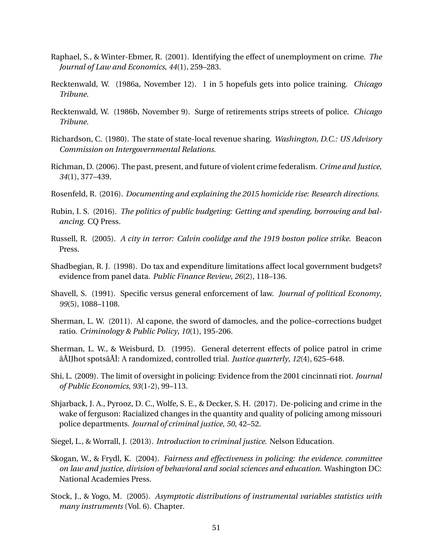- <span id="page-51-8"></span>Raphael, S., & Winter-Ebmer, R. (2001). Identifying the effect of unemployment on crime. *The Journal of Law and Economics*, *44*(1), 259–283.
- <span id="page-51-11"></span>Recktenwald, W. (1986a, November 12). 1 in 5 hopefuls gets into police training. *Chicago Tribune*.
- <span id="page-51-12"></span>Recktenwald, W. (1986b, November 9). Surge of retirements strips streets of police. *Chicago Tribune*.
- <span id="page-51-15"></span>Richardson, C. (1980). The state of state-local revenue sharing. *Washington, D.C.: US Advisory Commission on Intergovernmental Relations*.
- <span id="page-51-14"></span>Richman, D. (2006). The past, present, and future of violent crime federalism. *Crime and Justice*, *34*(1), 377–439.
- <span id="page-51-4"></span>Rosenfeld, R. (2016). *Documenting and explaining the 2015 homicide rise: Research directions.*
- <span id="page-51-9"></span>Rubin, I. S. (2016). *The politics of public budgeting: Getting and spending, borrowing and balancing*. CQ Press.
- <span id="page-51-13"></span>Russell, R. (2005). *A city in terror: Calvin coolidge and the 1919 boston police strike*. Beacon Press.
- <span id="page-51-10"></span>Shadbegian, R. J. (1998). Do tax and expenditure limitations affect local government budgets? evidence from panel data. *Public Finance Review*, *26*(2), 118–136.
- <span id="page-51-0"></span>Shavell, S. (1991). Specific versus general enforcement of law. *Journal of political Economy*, *99*(5), 1088–1108.
- <span id="page-51-3"></span>Sherman, L. W. (2011). Al capone, the sword of damocles, and the police–corrections budget ratio. *Criminology & Public Policy*, *10*(1), 195-206.
- <span id="page-51-2"></span>Sherman, L. W., & Weisburd, D. (1995). General deterrent effects of police patrol in crime âĂIJhot spotsâĂİ: A randomized, controlled trial. *Justice quarterly*, *12*(4), 625–648.
- <span id="page-51-1"></span>Shi, L. (2009). The limit of oversight in policing: Evidence from the 2001 cincinnati riot. *Journal of Public Economics*, *93*(1-2), 99–113.
- <span id="page-51-5"></span>Shjarback, J. A., Pyrooz, D. C., Wolfe, S. E., & Decker, S. H. (2017). De-policing and crime in the wake of ferguson: Racialized changes in the quantity and quality of policing among missouri police departments. *Journal of criminal justice*, *50*, 42–52.
- <span id="page-51-7"></span>Siegel, L., & Worrall, J. (2013). *Introduction to criminal justice*. Nelson Education.
- <span id="page-51-6"></span>Skogan, W., & Frydl, K. (2004). *Fairness and effectiveness in policing: the evidence. committee on law and justice, division of behavioral and social sciences and education.* Washington DC: National Academies Press.
- <span id="page-51-16"></span>Stock, J., & Yogo, M. (2005). *Asymptotic distributions of instrumental variables statistics with many instruments* (Vol. 6). Chapter.